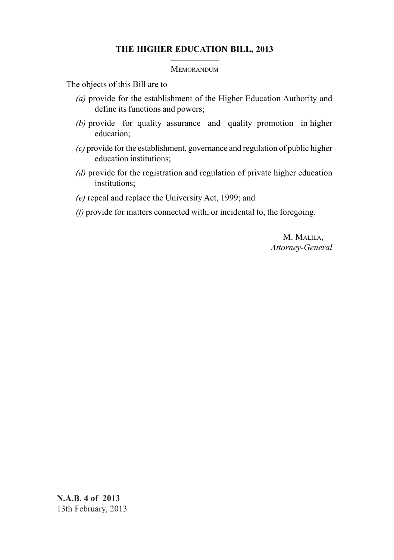# **THE HIGHER EDUCATION BILL, 2013**

#### **MEMORANDUM**

The objects of this Bill are to—

- *(a)* provide for the establishment of the Higher Education Authority and define its functions and powers;
- *(b)* provide for quality assurance and quality promotion in higher education;
- *(c)* provide for the establishment, governance and regulation of public higher education institutions;
- *(d)* provide for the registration and regulation of private higher education institutions;
- *(e)* repeal and replace the University Act, 1999; and
- *(f)* provide for matters connected with, or incidental to, the foregoing.

M. MALILA, *Attorney-General*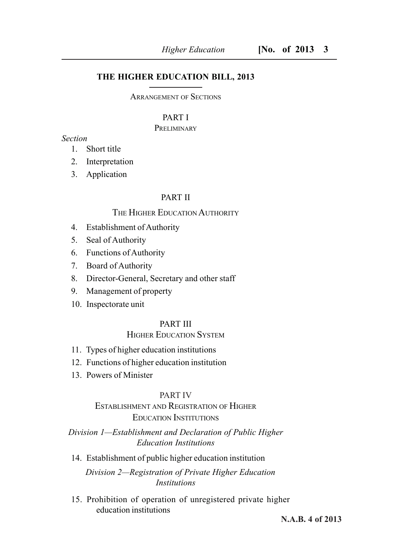# **THE HIGHER EDUCATION BILL, 2013**

ARRANGEMENT OF SECTIONS

## PART I

### **PRELIMINARY**

# *Section*

- 1. Short title
- 2. Interpretation
- 3. Application

# PART II

# THE HIGHER EDUCATION AUTHORITY

- 4. Establishment of Authority
- 5. Seal of Authority
- 6. Functions of Authority
- 7. Board of Authority
- 8. Director-General, Secretary and other staff
- 9. Management of property
- 10. Inspectorate unit

# PART III

# HIGHER EDUCATION SYSTEM

- 11. Types of higher education institutions
- 12. Functions of higher education institution
- 13. Powers of Minister

### PART IV

# ESTABLISHMENT AND REGISTRATION OF HIGHER EDUCATION INSTITUTIONS

# *Division 1—Establishment and Declaration of Public Higher Education Institutions*

14. Establishment of public higher education institution

*Division 2—Registration of Private Higher Education Institutions*

15. Prohibition of operation of unregistered private higher education institutions

**N.A.B. 4 of 2013**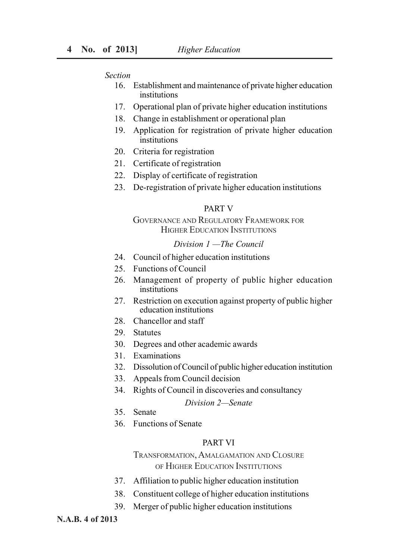#### *Section*

- 16. Establishment and maintenance of private higher education institutions
- 17. Operational plan of private higher education institutions
- 18. Change in establishment or operational plan
- 19. Application for registration of private higher education institutions
- 20. Criteria for registration
- 21. Certificate of registration
- 22. Display of certificate of registration
- 23. De-registration of private higher education institutions

### PART V

# GOVERNANCE AND REGULATORY FRAMEWORK FOR HIGHER EDUCATION INSTITUTIONS

# *Division 1 —The Council*

- 24. Council of higher education institutions
- 25. Functions of Council
- 26. Management of property of public higher education institutions
- 27. Restriction on execution against property of public higher education institutions
- 28. Chancellor and staff
- 29. Statutes
- 30. Degrees and other academic awards
- 31. Examinations
- 32. Dissolution of Council of public higher education institution
- 33. Appeals from Council decision
- 34. Rights of Council in discoveries and consultancy

## *Division 2—Senate*

- 35. Senate
- 36. Functions of Senate

### PART VI

TRANSFORMATION, AMALGAMATION AND CLOSURE OF HIGHER EDUCATION INSTITUTIONS

- 37. Affiliation to public higher education institution
- 38. Constituent college of higher education institutions
- 39. Merger of public higher education institutions

#### **N.A.B. 4 of 2013**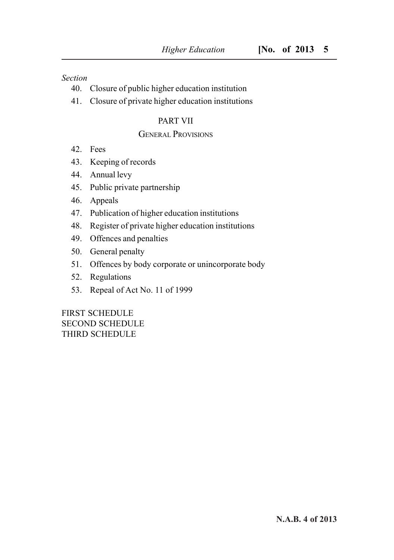# *Section*

- 40. Closure of public higher education institution
- 41. Closure of private higher education institutions

# PART VII

# GENERAL PROVISIONS

- 42. Fees
- 43. Keeping of records
- 44. Annual levy
- 45. Public private partnership
- 46. Appeals
- 47. Publication of higher education institutions
- 48. Register of private higher education institutions
- 49. Offences and penalties
- 50. General penalty
- 51. Offences by body corporate or unincorporate body
- 52. Regulations
- 53. Repeal of Act No. 11 of 1999

FIRST SCHEDULE SECOND SCHEDULE THIRD SCHEDULE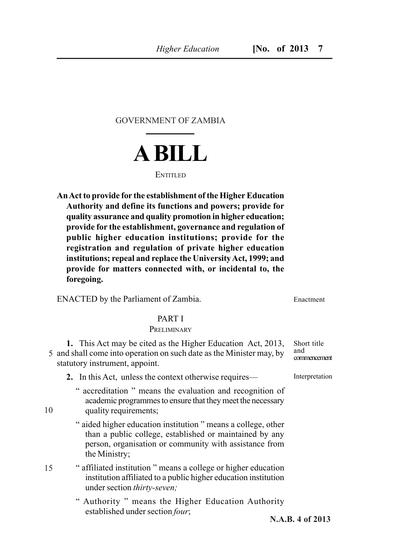GOVERNMENT OF ZAMBIA



### ENTITLED.

**An Act to provide for the establishment of the Higher Education Authority and define its functions and powers; provide for quality assurance and quality promotion in higher education; provide for the establishment, governance and regulation of public higher education institutions; provide for the registration and regulation of private higher education institutions; repeal and replace the University Act, 1999; and provide for matters connected with, or incidental to, the foregoing.**

ENACTED by the Parliament of Zambia.

### PART I

### **PRELIMINARY**

**1.** This Act may be cited as the Higher Education Act, 2013, 5 and shall come into operation on such date as the Minister may, by statutory instrument, appoint. Short title and

**2.** In this Act, unless the context otherwise requires—

- " accreditation " means the evaluation and recognition of academic programmes to ensure that they meet the necessary quality requirements;
- " aided higher education institution " means a college, other than a public college, established or maintained by any person, organisation or community with assistance from the Ministry;
- " affiliated institution " means a college or higher education institution affiliated to a public higher education institution under section *thirty-seven;*
	- " Authority " means the Higher Education Authority established under section *four*;

commencement

Enactment

**Interpretation** 

**N.A.B. 4 of 2013**

15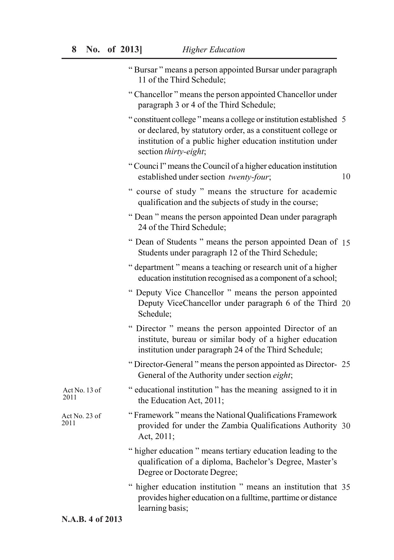| "Bursar" means a person appointed Bursar under paragraph |  |  |
|----------------------------------------------------------|--|--|
| 11 of the Third Schedule;                                |  |  |

- " Chancellor " means the person appointed Chancellor under paragraph 3 or 4 of the Third Schedule;
- " constituent college " means a college or institution established 5 or declared, by statutory order, as a constituent college or institution of a public higher education institution under section *thirty-eight*;
- " Counci l" means the Council of a higher education institution established under section *twenty-four*; 10
- " course of study " means the structure for academic qualification and the subjects of study in the course;
- " Dean " means the person appointed Dean under paragraph 24 of the Third Schedule;
- " Dean of Students " means the person appointed Dean of 15 Students under paragraph 12 of the Third Schedule;
- " department " means a teaching or research unit of a higher education institution recognised as a component of a school;
- " Deputy Vice Chancellor " means the person appointed Deputy ViceChancellor under paragraph 6 of the Third 20 Schedule;
- " Director " means the person appointed Director of an institute, bureau or similar body of a higher education institution under paragraph 24 of the Third Schedule;
- " Director-General " means the person appointed as Director-25 General of the Authority under section *eight*;
- " educational institution " has the meaning assigned to it in the Education Act, 2011; Act No. 13 of
- " Framework " means the National Qualifications Framework provided for under the Zambia Qualifications Authority 30 Act, 2011; Act No. 23 of 2011
	- " higher education " means tertiary education leading to the qualification of a diploma, Bachelor's Degree, Master's Degree or Doctorate Degree;
	- " higher education institution " means an institution that 35 provides higher education on a fulltime, parttime or distance learning basis;

### **N.A.B. 4 of 2013**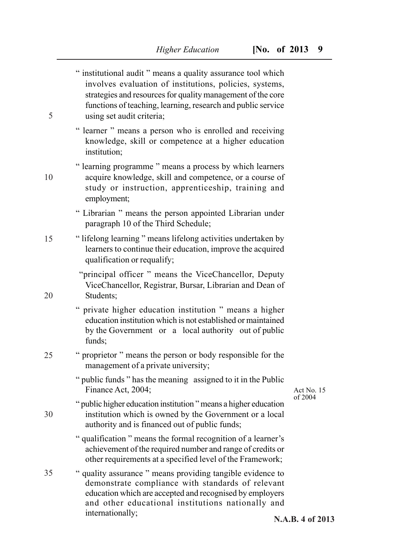| " institutional audit " means a quality assurance tool which<br>involves evaluation of institutions, policies, systems,<br>strategies and resources for quality management of the core<br>functions of teaching, learning, research and public service<br>5 |                  |
|-------------------------------------------------------------------------------------------------------------------------------------------------------------------------------------------------------------------------------------------------------------|------------------|
| using set audit criteria;<br>" learner " means a person who is enrolled and receiving<br>knowledge, skill or competence at a higher education<br>institution;                                                                                               |                  |
| " learning programme " means a process by which learners<br>acquire knowledge, skill and competence, or a course of<br>10<br>study or instruction, apprenticeship, training and<br>employment;                                                              |                  |
| " Librarian " means the person appointed Librarian under<br>paragraph 10 of the Third Schedule;                                                                                                                                                             |                  |
| "lifelong learning" means lifelong activities undertaken by<br>15<br>learners to continue their education, improve the acquired<br>qualification or requalify;                                                                                              |                  |
| "principal officer" means the ViceChancellor, Deputy<br>ViceChancellor, Registrar, Bursar, Librarian and Dean of<br>20<br>Students;                                                                                                                         |                  |
| " private higher education institution " means a higher<br>education institution which is not established or maintained<br>by the Government or a local authority out of public<br>funds;                                                                   |                  |
| " proprietor " means the person or body responsible for the<br>25<br>management of a private university;                                                                                                                                                    |                  |
| " public funds " has the meaning assigned to it in the Public<br>Finance Act, 2004;                                                                                                                                                                         | Act No. 15       |
| " public higher education institution " means a higher education<br>institution which is owned by the Government or a local<br>30<br>authority and is financed out of public funds;                                                                         | of 2004          |
| " qualification " means the formal recognition of a learner's<br>achievement of the required number and range of credits or<br>other requirements at a specified level of the Framework;                                                                    |                  |
| 35<br>" quality assurance " means providing tangible evidence to<br>demonstrate compliance with standards of relevant<br>education which are accepted and recognised by employers<br>and other educational institutions nationally and                      |                  |
| internationally;                                                                                                                                                                                                                                            | N.A.B. 4 of 2013 |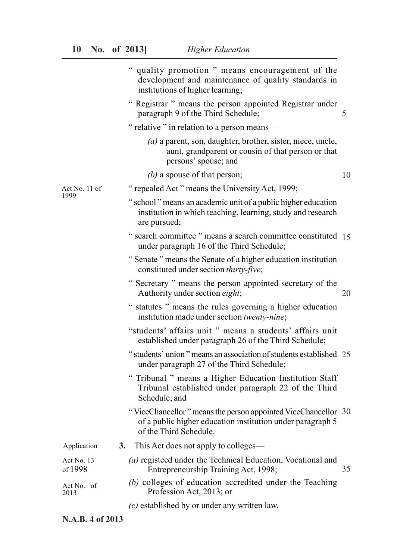|                       | " quality promotion " means encouragement of the<br>development and maintenance of quality standards in<br>institutions of higher learning;           |  |
|-----------------------|-------------------------------------------------------------------------------------------------------------------------------------------------------|--|
|                       | " Registrar " means the person appointed Registrar under<br>paragraph 9 of the Third Schedule;<br>5                                                   |  |
|                       | " relative " in relation to a person means—                                                                                                           |  |
|                       | $(a)$ a parent, son, daughter, brother, sister, niece, uncle,<br>aunt, grandparent or cousin of that person or that<br>persons' spouse; and           |  |
|                       | (b) a spouse of that person;<br>10                                                                                                                    |  |
| Act No. 11 of<br>1999 | "repealed Act" means the University Act, 1999;                                                                                                        |  |
|                       | " school" means an academic unit of a public higher education<br>institution in which teaching, learning, study and research<br>are pursued;          |  |
|                       | " search committee " means a search committee constituted 15<br>under paragraph 16 of the Third Schedule;                                             |  |
|                       | "Senate" means the Senate of a higher education institution<br>constituted under section thirty-five;                                                 |  |
|                       | " Secretary " means the person appointed secretary of the<br>Authority under section eight;<br>20                                                     |  |
|                       | $\epsilon$<br>statutes " means the rules governing a higher education<br>institution made under section twenty-nine;                                  |  |
|                       | "students' affairs unit " means a students' affairs unit<br>established under paragraph 26 of the Third Schedule;                                     |  |
|                       | "students' union" means an association of students established 25<br>under paragraph 27 of the Third Schedule;                                        |  |
|                       | " Tribunal " means a Higher Education Institution Staff<br>Tribunal established under paragraph 22 of the Third<br>Schedule; and                      |  |
|                       | "ViceChancellor" means the person appointed ViceChancellor 30<br>of a public higher education institution under paragraph 5<br>of the Third Schedule. |  |
| Application           | This Act does not apply to colleges—<br>3.                                                                                                            |  |
| Act No. 13<br>of 1998 | (a) registeed under the Technical Education, Vocational and<br>Entrepreneurship Training Act, 1998;<br>35                                             |  |
| Act No. of<br>2013    | (b) colleges of education accredited under the Teaching<br>Profession Act, 2013; or                                                                   |  |
|                       | $(c)$ established by or under any written law.                                                                                                        |  |

**N.A.B. 4 of 2013**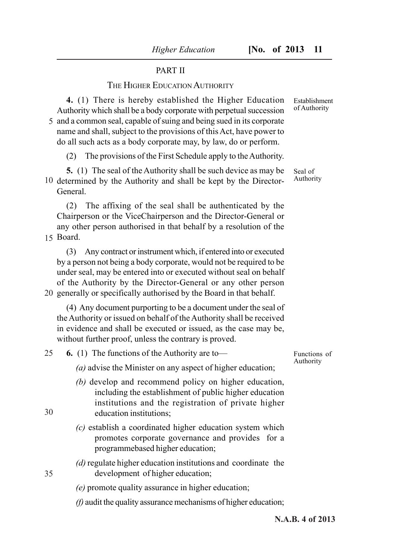## PART II

# THE HIGHER EDUCATION AUTHORITY

**4.** (1) There is hereby established the Higher Education Authority which shall be a body corporate with perpetual succession 5 and a common seal, capable of suing and being sued in its corporate name and shall, subject to the provisions of this Act, have power to do all such acts as a body corporate may, by law, do or perform.

(2) The provisions of the First Schedule apply to the Authority.

**5.** (1) The seal of the Authority shall be such device as may be 10 determined by the Authority and shall be kept by the Director-General.

(2) The affixing of the seal shall be authenticated by the Chairperson or the ViceChairperson and the Director-General or any other person authorised in that behalf by a resolution of the

Board. 15

(3) Any contract or instrument which, if entered into or executed by a person not being a body corporate, would not be required to be under seal, may be entered into or executed without seal on behalf of the Authority by the Director-General or any other person 20 generally or specifically authorised by the Board in that behalf.

(4) Any document purporting to be a document under the seal of the Authority or issued on behalf of the Authority shall be received

in evidence and shall be executed or issued, as the case may be, without further proof, unless the contrary is proved.

**6.** (1) The functions of the Authority are to— 25

*(a)* advise the Minister on any aspect of higher education;

- *(b)* develop and recommend policy on higher education, including the establishment of public higher education institutions and the registration of private higher education institutions;
- *(c)* establish a coordinated higher education system which promotes corporate governance and provides for a programmebased higher education;
- *(d)* regulate higher education institutions and coordinate the development of higher education;
- *(e)* promote quality assurance in higher education;
- *(f)* audit the quality assurance mechanisms of higher education;

Seal of

Establishment of Authority

Authority

Functions of Authority

35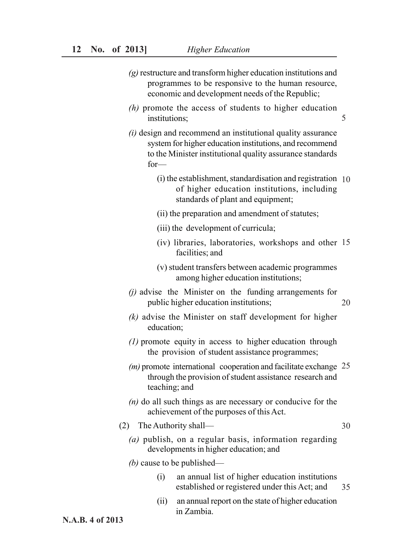- *(g)* restructure and transform higher education institutions and programmes to be responsive to the human resource, economic and development needs of the Republic;
- *(h)* promote the access of students to higher education institutions;
- *(i)* design and recommend an institutional quality assurance system for higher education institutions, and recommend to the Minister institutional quality assurance standards for—
	- (i) the establishment, standardisation and registration 10 of higher education institutions, including standards of plant and equipment;
	- (ii) the preparation and amendment of statutes;
	- (iii) the development of curricula;
	- (iv) libraries, laboratories, workshops and other 15 facilities; and
	- (v) student transfers between academic programmes among higher education institutions;
- *(j)* advise the Minister on the funding arrangements for public higher education institutions; 20
- *(k)* advise the Minister on staff development for higher education;
- *(1)* promote equity in access to higher education through the provision of student assistance programmes;
- *(m)* promote international cooperation and facilitate exchange 25 through the provision of student assistance research and teaching; and
- *(n)* do all such things as are necessary or conducive for the achievement of the purposes of this Act.
- (2) The Authority shall—
	- *(a)* publish, on a regular basis, information regarding developments in higher education; and

### *(b)* cause to be published—

- (i) an annual list of higher education institutions established or registered under this Act; and 35
- (ii) an annual report on the state of higher education in Zambia.

**N.A.B. 4 of 2013**

#### 30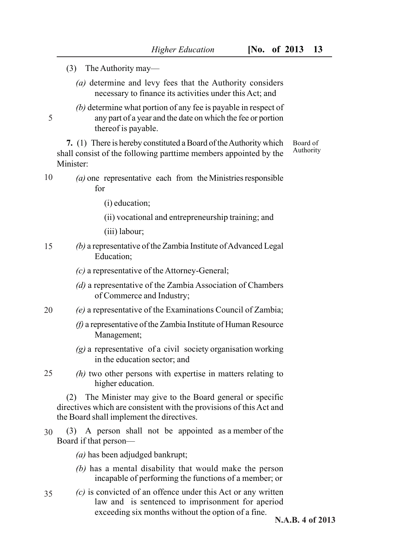(3) The Authority may—

5

- *(a)* determine and levy fees that the Authority considers necessary to finance its activities under this Act; and
- *(b)* determine what portion of any fee is payable in respect of any part of a year and the date on which the fee or portion thereof is payable.

**7.** (1) There is hereby constituted a Board of the Authority which shall consist of the following parttime members appointed by the Minister: Board of Authority

- *(a)* one representative each from the Ministries responsible for 10
	- (i) education;
	- (ii) vocational and entrepreneurship training; and

(iii) labour;

- *(b)* a representative of the Zambia Institute of Advanced Legal Education; 15
	- *(c)* a representative of the Attorney-General;
	- *(d)* a representative of the Zambia Association of Chambers of Commerce and Industry;
- *(e)* a representative of the Examinations Council of Zambia; 20
	- *(f)* a representative of the Zambia Institute of Human Resource Management;
	- *(g)* a representative of a civil society organisation working in the education sector; and
- *(h)* two other persons with expertise in matters relating to higher education. 25

(2) The Minister may give to the Board general or specific directives which are consistent with the provisions of this Act and the Board shall implement the directives.

(3) A person shall not be appointed as a member of the Board if that person— 30

*(a)* has been adjudged bankrupt;

- *(b)* has a mental disability that would make the person incapable of performing the functions of a member; or
- *(c)* is convicted of an offence under this Act or any written law and is sentenced to imprisonment for aperiod exceeding six months without the option of a fine. 35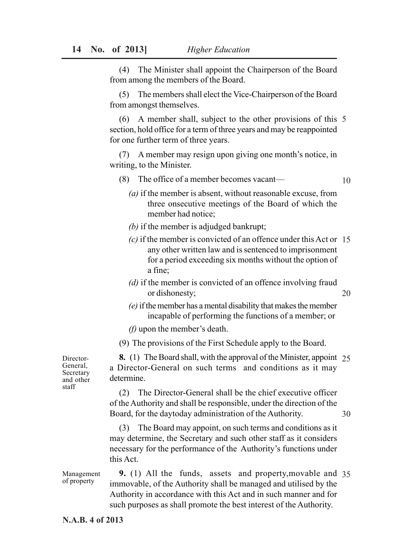(4) The Minister shall appoint the Chairperson of the Board from among the members of the Board.

(5) The members shall elect the Vice-Chairperson of the Board from amongst themselves.

(6) A member shall, subject to the other provisions of this 5 section, hold office for a term of three years and may be reappointed for one further term of three years.

(7) A member may resign upon giving one month's notice, in writing, to the Minister.

- (8) The office of a member becomes vacant— 10
	- *(a)* if the member is absent, without reasonable excuse, from three onsecutive meetings of the Board of which the member had notice;
	- *(b)* if the member is adjudged bankrupt;
	- *(c)* if the member is convicted of an offence under this Act or 15 any other written law and is sentenced to imprisonment for a period exceeding six months without the option of a fine;
	- *(d)* if the member is convicted of an offence involving fraud or dishonesty;

20

- *(e)* if the member has a mental disability that makes the member incapable of performing the functions of a member; or
- *(f)* upon the member's death.

(9) The provisions of the First Schedule apply to the Board.

Director-General, Secretary and other staff

**8.** (1) The Board shall, with the approval of the Minister, appoint 25 a Director-General on such terms and conditions as it may determine.

(2) The Director-General shall be the chief executive officer of the Authority and shall be responsible, under the direction of the Board, for the daytoday administration of the Authority. 30

(3) The Board may appoint, on such terms and conditions as it may determine, the Secretary and such other staff as it considers necessary for the performance of the Authority's functions under this Act.

**9.** (1) All the funds, assets and property,movable and 35 immovable, of the Authority shall be managed and utilised by the Authority in accordance with this Act and in such manner and for such purposes as shall promote the best interest of the Authority. Management of property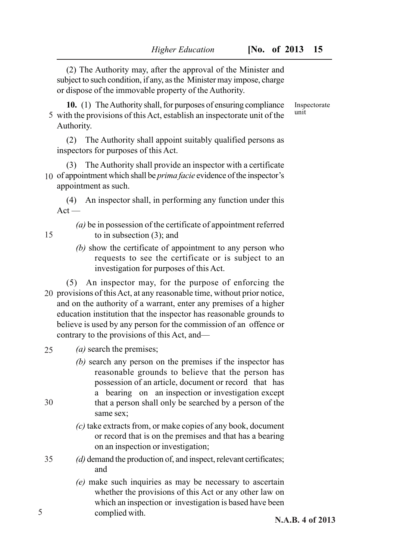(2) The Authority may, after the approval of the Minister and subject to such condition, if any, as the Minister may impose, charge or dispose of the immovable property of the Authority.

**10.** (1) The Authority shall, for purposes of ensuring compliance  $5$  with the provisions of this Act, establish an inspectorate unit of the unit Authority.

(2) The Authority shall appoint suitably qualified persons as inspectors for purposes of this Act.

(3) The Authority shall provide an inspector with a certificate 10 of appointment which shall be *prima facie* evidence of the inspector's appointment as such.

(4) An inspector shall, in performing any function under this  $Act -$ 

*(a)* be in possession of the certificate of appointment referred to in subsection (3); and

*(b)* show the certificate of appointment to any person who requests to see the certificate or is subject to an investigation for purposes of this Act.

(5) An inspector may, for the purpose of enforcing the 20 provisions of this Act, at any reasonable time, without prior notice, and on the authority of a warrant, enter any premises of a higher education institution that the inspector has reasonable grounds to believe is used by any person for the commission of an offence or contrary to the provisions of this Act, and—

- *(a)* search the premises; 25
	- *(b)* search any person on the premises if the inspector has reasonable grounds to believe that the person has possession of an article, document or record that has a bearing on an inspection or investigation except that a person shall only be searched by a person of the same sex;
	- *(c)* take extracts from, or make copies of any book, document or record that is on the premises and that has a bearing on an inspection or investigation;
- *(d)* demand the production of, and inspect, relevant certificates; and 35
	- *(e)* make such inquiries as may be necessary to ascertain whether the provisions of this Act or any other law on which an inspection or investigation is based have been complied with.

Inspectorate

30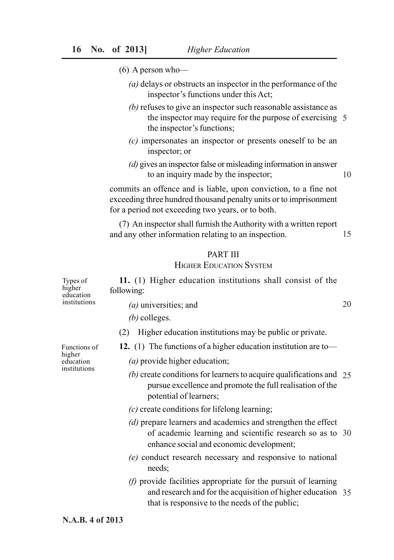- (6) A person who—
	- *(a)* delays or obstructs an inspector in the performance of the inspector's functions under this Act;
	- *(b)* refuses to give an inspector such reasonable assistance as the inspector may require for the purpose of exercising 5 the inspector's functions;
	- *(c)* impersonates an inspector or presents oneself to be an inspector; or
	- *(d)* gives an inspector false or misleading information in answer to an inquiry made by the inspector; 10

commits an offence and is liable, upon conviction, to a fine not exceeding three hundred thousand penalty units or to imprisonment for a period not exceeding two years, or to both.

(7) An inspector shall furnish the Authority with a written report and any other information relating to an inspection. 15

#### PART III

# HIGHER EDUCATION SYSTEM

| Types of<br>higher<br>education | 11. (1) Higher education institutions shall consist of the<br>following:                                                                                                          |    |
|---------------------------------|-----------------------------------------------------------------------------------------------------------------------------------------------------------------------------------|----|
| institutions                    | $(a)$ universities; and                                                                                                                                                           | 20 |
|                                 | $(b)$ colleges.                                                                                                                                                                   |    |
|                                 | Higher education institutions may be public or private.<br>(2)                                                                                                                    |    |
| Functions of                    | 12. (1) The functions of a higher education institution are to-                                                                                                                   |    |
| higher<br>education             | (a) provide higher education;                                                                                                                                                     |    |
| institutions                    | (b) create conditions for learners to acquire qualifications and $25$<br>pursue excellence and promote the full realisation of the<br>potential of learners;                      |    |
|                                 | $(c)$ create conditions for lifelong learning;                                                                                                                                    |    |
|                                 | (d) prepare learners and academics and strengthen the effect<br>of academic learning and scientific research so as to 30<br>enhance social and economic development;              |    |
|                                 | (e) conduct research necessary and responsive to national<br>needs;                                                                                                               |    |
|                                 | $(f)$ provide facilities appropriate for the pursuit of learning<br>and research and for the acquisition of higher education 35<br>that is responsive to the needs of the public; |    |
| N.A.B. 4 of 2013                |                                                                                                                                                                                   |    |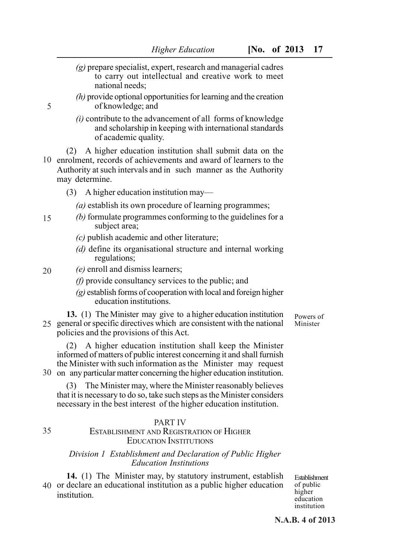- *(g)* prepare specialist, expert, research and managerial cadres to carry out intellectual and creative work to meet national needs;
- *(h)* provide optional opportunities for learning and the creation of knowledge; and
- *(i)* contribute to the advancement of all forms of knowledge and scholarship in keeping with international standards of academic quality.

(2) A higher education institution shall submit data on the 10 enrolment, records of achievements and award of learners to the Authority at such intervals and in such manner as the Authority may determine.

- (3) A higher education institution may—
	- *(a)* establish its own procedure of learning programmes;
- *(b)* formulate programmes conforming to the guidelines for a subject area; 15
	- *(c)* publish academic and other literature;
	- *(d)* define its organisational structure and internal working regulations;
- *(e)* enroll and dismiss learners; 20
	- *(f)* provide consultancy services to the public; and
	- *(g)* establish forms of cooperation with local and foreign higher education institutions.

**13.** (1) The Minister may give to a higher education institution 25 general or specific directives which are consistent with the national policies and the provisions of this Act.

(2) A higher education institution shall keep the Minister informed of matters of public interest concerning it and shall furnish the Minister with such information as the Minister may request 30 on any particular matter concerning the higher education institution.

(3) The Minister may, where the Minister reasonably believes that it is necessary to do so, take such steps as the Minister considers necessary in the best interest of the higher education institution.

### PART IV

### ESTABLISHMENT AND REGISTRATION OF HIGHER EDUCATION INSTITUTIONS

### *Division 1 Establishment and Declaration of Public Higher Education Institutions*

**14.** (1) The Minister may, by statutory instrument, establish 40 or declare an educational institution as a public higher education institution.

Establishment of public higher education institution

Powers of Minister

**N.A.B. 4 of 2013**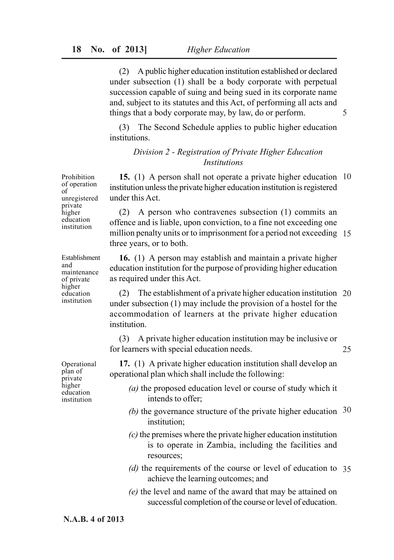(2) A public higher education institution established or declared under subsection (1) shall be a body corporate with perpetual succession capable of suing and being sued in its corporate name and, subject to its statutes and this Act, of performing all acts and things that a body corporate may, by law, do or perform.

5

25

(3) The Second Schedule applies to public higher education institutions.

# *Division 2 - Registration of Private Higher Education Institutions*

**15.** (1) A person shall not operate a private higher education 10 institution unless the private higher education institution is registered under this Act.

(2) A person who contravenes subsection (1) commits an offence and is liable, upon conviction, to a fine not exceeding one million penalty units or to imprisonment for a period not exceeding 15 three years, or to both.

**16.** (1) A person may establish and maintain a private higher education institution for the purpose of providing higher education as required under this Act.

(2) The establishment of a private higher education institution 20 under subsection (1) may include the provision of a hostel for the accommodation of learners at the private higher education institution.

(3) A private higher education institution may be inclusive or for learners with special education needs.

**17.** (1) A private higher education institution shall develop an operational plan which shall include the following:

- *(a)* the proposed education level or course of study which it intends to offer;
- (b) the governance structure of the private higher education  $30$ institution;
- *(c)* the premises where the private higher education institution is to operate in Zambia, including the facilities and resources;
- *(d)* the requirements of the course or level of education to 35 achieve the learning outcomes; and
- *(e)* the level and name of the award that may be attained on successful completion of the course or level of education.

Prohibition of operation of unregistered private higher education institution

Establishment and maintenance of private higher education institution

Operational plan of private higher education institution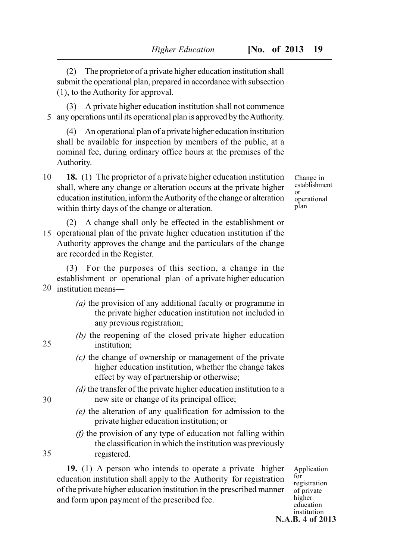(2) The proprietor of a private higher education institution shall submit the operational plan, prepared in accordance with subsection (1), to the Authority for approval.

(3) A private higher education institution shall not commence any operations until its operational plan is approved by the Authority. 5

(4) An operational plan of a private higher education institution shall be available for inspection by members of the public, at a nominal fee, during ordinary office hours at the premises of the Authority.

- **18.** (1) The proprietor of a private higher education institution shall, where any change or alteration occurs at the private higher education institution, inform the Authority of the change or alteration within thirty days of the change or alteration. 10
- (2) A change shall only be effected in the establishment or 15 operational plan of the private higher education institution if the Authority approves the change and the particulars of the change are recorded in the Register.

(3) For the purposes of this section, a change in the establishment or operational plan of a private higher education 20 institution means—

- *(a)* the provision of any additional faculty or programme in the private higher education institution not included in any previous registration;
- *(b)* the reopening of the closed private higher education institution;
- *(c)* the change of ownership or management of the private higher education institution, whether the change takes effect by way of partnership or otherwise;
- *(d)* the transfer of the private higher education institution to a new site or change of its principal office;
- *(e)* the alteration of any qualification for admission to the private higher education institution; or
- *(f)* the provision of any type of education not falling within the classification in which the institution was previously registered.

**19.** (1) A person who intends to operate a private higher education institution shall apply to the Authority for registration of the private higher education institution in the prescribed manner and form upon payment of the prescribed fee.

Application for registration of private higher education institution **N.A.B. 4 of 2013**

 $25$ 

Change in establishment or operational plan

30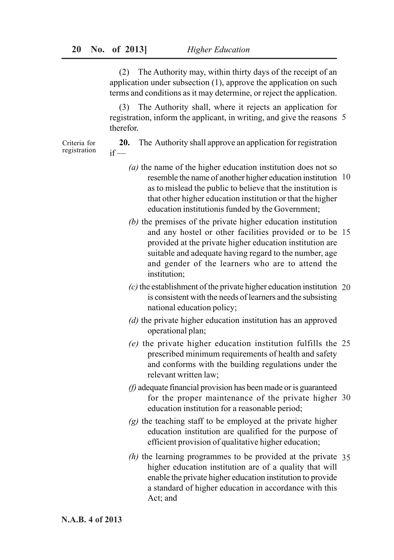(2) The Authority may, within thirty days of the receipt of an application under subsection (1), approve the application on such terms and conditions as it may determine, or reject the application.

(3) The Authority shall, where it rejects an application for registration, inform the applicant, in writing, and give the reasons 5 therefor.

Criteria for registration

- **20.** The Authority shall approve an application for registration  $if -$ 
	- *(a)* the name of the higher education institution does not so resemble the name of another higher education institution 10 as to mislead the public to believe that the institution is that other higher education institution or that the higher education institutionis funded by the Government;
	- *(b)* the premises of the private higher education institution and any hostel or other facilities provided or to be 15 provided at the private higher education institution are suitable and adequate having regard to the number, age and gender of the learners who are to attend the institution;
	- *(c)* the establishment of the private higher education institution 20 is consistent with the needs of learners and the subsisting national education policy;
	- *(d)* the private higher education institution has an approved operational plan;
	- *(e)* the private higher education institution fulfills the 25 prescribed minimum requirements of health and safety and conforms with the building regulations under the relevant written law;
	- *(f)* adequate financial provision has been made or is guaranteed for the proper maintenance of the private higher 30 education institution for a reasonable period;
	- *(g)* the teaching staff to be employed at the private higher education institution are qualified for the purpose of efficient provision of qualitative higher education;
	- *(h)* the learning programmes to be provided at the private 35 higher education institution are of a quality that will enable the private higher education institution to provide a standard of higher education in accordance with this Act; and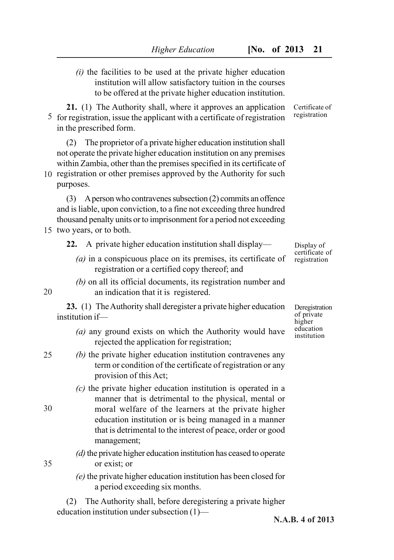*(i)* the facilities to be used at the private higher education institution will allow satisfactory tuition in the courses to be offered at the private higher education institution.

**21.** (1) The Authority shall, where it approves an application 5 for registration, issue the applicant with a certificate of registration in the prescribed form.

(2) The proprietor of a private higher education institution shall not operate the private higher education institution on any premises within Zambia, other than the premises specified in its certificate of

10 registration or other premises approved by the Authority for such purposes.

(3) A person who contravenes subsection (2) commits an offence and is liable, upon conviction, to a fine not exceeding three hundred thousand penalty units or to imprisonment for a period not exceeding

- 15 two years, or to both.
	- **22.** A private higher education institution shall display—
		- *(a)* in a conspicuous place on its premises, its certificate of registration or a certified copy thereof; and
		- *(b)* on all its official documents, its registration number and an indication that it is registered.

**23.** (1) The Authority shall deregister a private higher education institution if—

- *(a)* any ground exists on which the Authority would have rejected the application for registration;
- 25

30

20

*(b)* the private higher education institution contravenes any term or condition of the certificate of registration or any provision of this Act;

- *(c)* the private higher education institution is operated in a manner that is detrimental to the physical, mental or moral welfare of the learners at the private higher education institution or is being managed in a manner that is detrimental to the interest of peace, order or good management;
- *(d)* the private higher education institution has ceased to operate or exist; or
- *(e)* the private higher education institution has been closed for a period exceeding six months.

(2) The Authority shall, before deregistering a private higher education institution under subsection (1)—

Certificate of registration

Display of certificate of registration

Deregistration of private higher education institution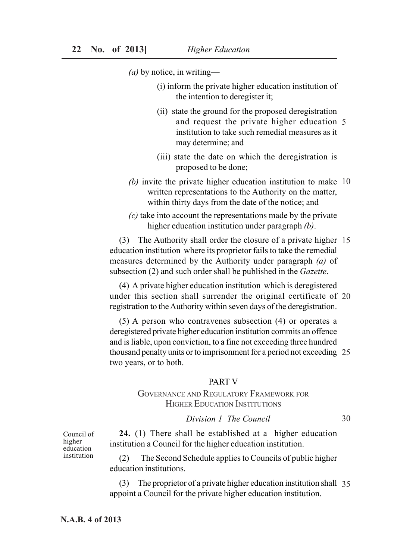*(a)* by notice, in writing—

- (i) inform the private higher education institution of the intention to deregister it;
- (ii) state the ground for the proposed deregistration and request the private higher education 5 institution to take such remedial measures as it may determine; and
- (iii) state the date on which the deregistration is proposed to be done;
- *(b)* invite the private higher education institution to make 10 written representations to the Authority on the matter, within thirty days from the date of the notice; and
- *(c)* take into account the representations made by the private higher education institution under paragraph *(b)*.

(3) The Authority shall order the closure of a private higher 15 education institution where its proprietor fails to take the remedial measures determined by the Authority under paragraph *(a)* of subsection (2) and such order shall be published in the *Gazette*.

(4) A private higher education institution which is deregistered under this section shall surrender the original certificate of 20 registration to the Authority within seven days of the deregistration.

(5) A person who contravenes subsection (4) or operates a deregistered private higher education institution commits an offence and is liable, upon conviction, to a fine not exceeding three hundred thousand penalty units or to imprisonment for a period not exceeding 25 two years, or to both.

### PART V

# GOVERNANCE AND REGULATORY FRAMEWORK FOR HIGHER EDUCATION INSTITUTIONS

# *Division 1 The Council*

30

Council of higher education institution

**24.** (1) There shall be established at a higher education institution a Council for the higher education institution.

(2) The Second Schedule applies to Councils of public higher education institutions.

(3) The proprietor of a private higher education institution shall 35 appoint a Council for the private higher education institution.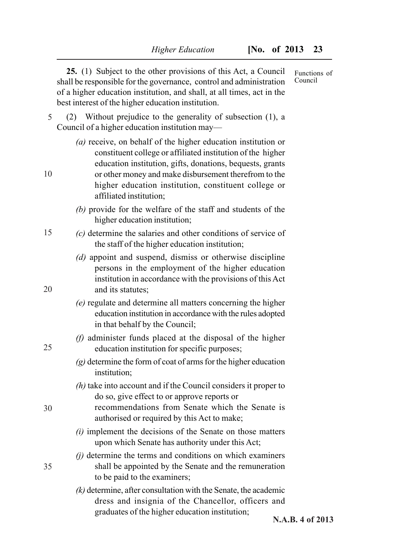|    | 25. (1) Subject to the other provisions of this Act, a Council<br>shall be responsible for the governance, control and administration<br>of a higher education institution, and shall, at all times, act in the<br>best interest of the higher education institution.                                                                 | Functions of<br>Council |
|----|---------------------------------------------------------------------------------------------------------------------------------------------------------------------------------------------------------------------------------------------------------------------------------------------------------------------------------------|-------------------------|
| 5  | Without prejudice to the generality of subsection (1), a<br>(2)<br>Council of a higher education institution may—                                                                                                                                                                                                                     |                         |
| 10 | (a) receive, on behalf of the higher education institution or<br>constituent college or affiliated institution of the higher<br>education institution, gifts, donations, bequests, grants<br>or other money and make disbursement therefrom to the<br>higher education institution, constituent college or<br>affiliated institution; |                         |
|    | $(b)$ provide for the welfare of the staff and students of the<br>higher education institution;                                                                                                                                                                                                                                       |                         |
| 15 | $(c)$ determine the salaries and other conditions of service of<br>the staff of the higher education institution;                                                                                                                                                                                                                     |                         |
| 20 | (d) appoint and suspend, dismiss or otherwise discipline<br>persons in the employment of the higher education<br>institution in accordance with the provisions of this Act<br>and its statutes;                                                                                                                                       |                         |
|    | (e) regulate and determine all matters concerning the higher<br>education institution in accordance with the rules adopted<br>in that behalf by the Council;                                                                                                                                                                          |                         |
| 25 | (f) administer funds placed at the disposal of the higher<br>education institution for specific purposes;                                                                                                                                                                                                                             |                         |
|    | $(g)$ determine the form of coat of arms for the higher education<br>institution;                                                                                                                                                                                                                                                     |                         |
| 30 | $(h)$ take into account and if the Council considers it proper to<br>do so, give effect to or approve reports or<br>recommendations from Senate which the Senate is<br>authorised or required by this Act to make;                                                                                                                    |                         |
|    | $(i)$ implement the decisions of the Senate on those matters<br>upon which Senate has authority under this Act;                                                                                                                                                                                                                       |                         |
| 35 | $(i)$ determine the terms and conditions on which examiners<br>shall be appointed by the Senate and the remuneration<br>to be paid to the examiners;                                                                                                                                                                                  |                         |
|    | $(k)$ determine, after consultation with the Senate, the academic<br>dress and insignia of the Chancellor, officers and<br>graduates of the higher education institution;                                                                                                                                                             |                         |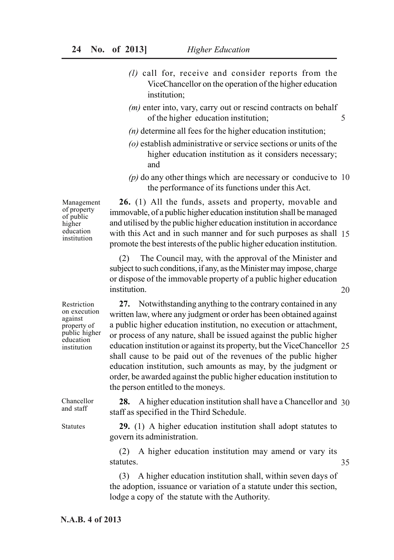- *(l)* call for, receive and consider reports from the ViceChancellor on the operation of the higher education institution;
- *(m)* enter into, vary, carry out or rescind contracts on behalf of the higher education institution; 5
- *(n)* determine all fees for the higher education institution;
- *(o)* establish administrative or service sections or units of the higher education institution as it considers necessary; and
- *(p)* do any other things which are necessary or conducive to 10 the performance of its functions under this Act.

Management of property of public higher education institution

**26.** (1) All the funds, assets and property, movable and immovable, of a public higher education institution shall be managed and utilised by the public higher education institution in accordance with this Act and in such manner and for such purposes as shall 15 promote the best interests of the public higher education institution.

(2) The Council may, with the approval of the Minister and subject to such conditions, if any, as the Minister may impose, charge or dispose of the immovable property of a public higher education institution.

20

Restriction on execution against property of public higher education institution

**27.** Notwithstanding anything to the contrary contained in any written law, where any judgment or order has been obtained against a public higher education institution, no execution or attachment, or process of any nature, shall be issued against the public higher education institution or against its property, but the ViceChancellor 25 shall cause to be paid out of the revenues of the public higher education institution, such amounts as may, by the judgment or order, be awarded against the public higher education institution to the person entitled to the moneys.

**28.** A higher education institution shall have a Chancellor and 30 staff as specified in the Third Schedule.

**29.** (1) A higher education institution shall adopt statutes to govern its administration.

(2) A higher education institution may amend or vary its statutes. 35

(3) A higher education institution shall, within seven days of the adoption, issuance or variation of a statute under this section, lodge a copy of the statute with the Authority.

**N.A.B. 4 of 2013**

Chancellor and staff

Statutes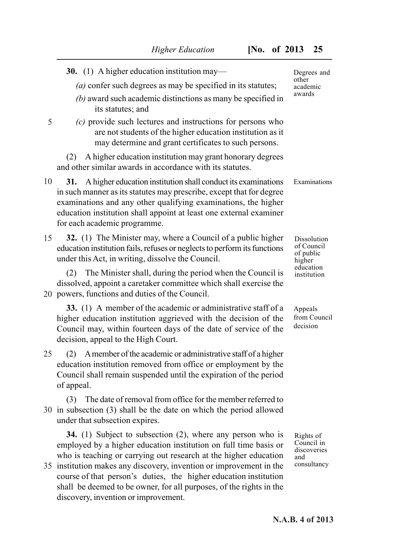|    | <b>30.</b> (1) A higher education institution may—                                                                                                                                                                                                                                                                                                                                                                                                                  | Degrees and                                                  |  |
|----|---------------------------------------------------------------------------------------------------------------------------------------------------------------------------------------------------------------------------------------------------------------------------------------------------------------------------------------------------------------------------------------------------------------------------------------------------------------------|--------------------------------------------------------------|--|
|    | (a) confer such degrees as may be specified in its statutes;<br>$(b)$ award such academic distinctions as many be specified in<br>its statutes; and                                                                                                                                                                                                                                                                                                                 | other<br>academic<br>awards                                  |  |
| 5  | (c) provide such lectures and instructions for persons who<br>are not students of the higher education institution as it<br>may determine and grant certificates to such persons.                                                                                                                                                                                                                                                                                   |                                                              |  |
|    | A higher education institution may grant honorary degrees<br>(2)<br>and other similar awards in accordance with its statutes.                                                                                                                                                                                                                                                                                                                                       |                                                              |  |
| 10 | A higher education institution shall conduct its examinations<br>31.<br>in such manner as its statutes may prescribe, except that for degree<br>examinations and any other qualifying examinations, the higher<br>education institution shall appoint at least one external examiner<br>for each academic programme.                                                                                                                                                | Examinations                                                 |  |
| 15 | 32. (1) The Minister may, where a Council of a public higher<br>education institution fails, refuses or neglects to perform its functions<br>under this Act, in writing, dissolve the Council.                                                                                                                                                                                                                                                                      | Dissolution<br>of Council<br>of public<br>higher             |  |
|    | The Minister shall, during the period when the Council is<br>(2)<br>dissolved, appoint a caretaker committee which shall exercise the<br>20 powers, functions and duties of the Council.                                                                                                                                                                                                                                                                            | education<br>institution                                     |  |
|    | 33. (1) A member of the academic or administrative staff of a<br>higher education institution aggrieved with the decision of the<br>Council may, within fourteen days of the date of service of the<br>decision, appeal to the High Court.                                                                                                                                                                                                                          | Appeals<br>from Council<br>decision                          |  |
| 25 | A member of the academic or administrative staff of a higher<br>(2)<br>education institution removed from office or employment by the<br>Council shall remain suspended until the expiration of the period<br>of appeal.                                                                                                                                                                                                                                            |                                                              |  |
|    | The date of removal from office for the member referred to<br>(3)<br>30 in subsection (3) shall be the date on which the period allowed<br>under that subsection expires.                                                                                                                                                                                                                                                                                           |                                                              |  |
|    | <b>34.</b> (1) Subject to subsection (2), where any person who is<br>employed by a higher education institution on full time basis or<br>who is teaching or carrying out research at the higher education<br>35 institution makes any discovery, invention or improvement in the<br>course of that person's duties, the higher education institution<br>shall be deemed to be owner, for all purposes, of the rights in the<br>discovery, invention or improvement. | Rights of<br>Council in<br>discoveries<br>and<br>consultancy |  |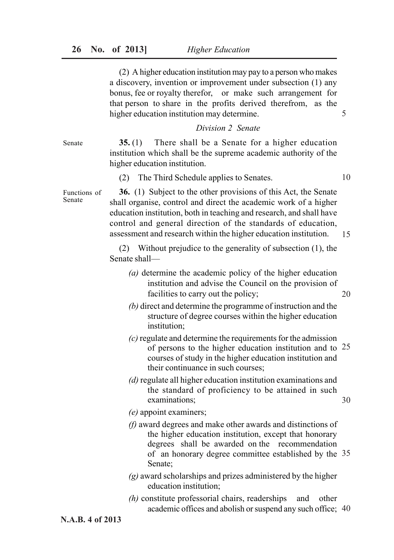(2) A higher education institution may pay to a person who makes a discovery, invention or improvement under subsection (1) any bonus, fee or royalty therefor, or make such arrangement for that person to share in the profits derived therefrom, as the higher education institution may determine.

### *Division 2 Senate*

**35.** (1) There shall be a Senate for a higher education institution which shall be the supreme academic authority of the higher education institution.

(2) The Third Schedule applies to Senates.

**36.** (1) Subject to the other provisions of this Act, the Senate shall organise, control and direct the academic work of a higher education institution, both in teaching and research, and shall have control and general direction of the standards of education, assessment and research within the higher education institution. Functions of 15

> (2) Without prejudice to the generality of subsection (1), the Senate shall—

- *(a)* determine the academic policy of the higher education institution and advise the Council on the provision of facilities to carry out the policy; 20
- *(b)* direct and determine the programme of instruction and the structure of degree courses within the higher education institution;
- *(c)* regulate and determine the requirements for the admission of persons to the higher education institution and to  $25$ courses of study in the higher education institution and their continuance in such courses;
- *(d)* regulate all higher education institution examinations and the standard of proficiency to be attained in such examinations; 30

*(e)* appoint examiners;

- *(f)* award degrees and make other awards and distinctions of the higher education institution, except that honorary degrees shall be awarded on the recommendation of an honorary degree committee established by the 35 Senate;
- *(g)* award scholarships and prizes administered by the higher education institution;
- *(h)* constitute professorial chairs, readerships and other academic offices and abolish or suspend any such office; 40

Senate

Senate

10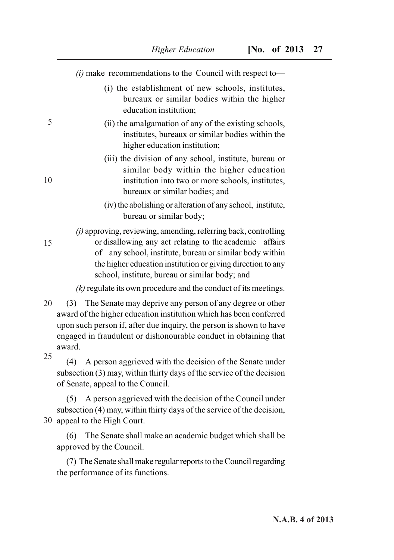*(i)* make recommendations to the Council with respect to—

- (i) the establishment of new schools, institutes, bureaux or similar bodies within the higher education institution;
- (ii) the amalgamation of any of the existing schools, institutes, bureaux or similar bodies within the higher education institution;
- (iii) the division of any school, institute, bureau or similar body within the higher education institution into two or more schools, institutes, bureaux or similar bodies; and
- (iv) the abolishing or alteration of any school, institute, bureau or similar body;

*(j)* approving, reviewing, amending, referring back, controlling or disallowing any act relating to the academic affairs of any school, institute, bureau or similar body within the higher education institution or giving direction to any school, institute, bureau or similar body; and

*(k)* regulate its own procedure and the conduct of its meetings.

(3) The Senate may deprive any person of any degree or other award of the higher education institution which has been conferred upon such person if, after due inquiry, the person is shown to have engaged in fraudulent or dishonourable conduct in obtaining that award. 20

25

5

10

15

(4) A person aggrieved with the decision of the Senate under subsection (3) may, within thirty days of the service of the decision of Senate, appeal to the Council.

(5) A person aggrieved with the decision of the Council under subsection (4) may, within thirty days of the service of the decision, 30 appeal to the High Court.

(6) The Senate shall make an academic budget which shall be approved by the Council.

(7) The Senate shall make regular reports to the Council regarding the performance of its functions.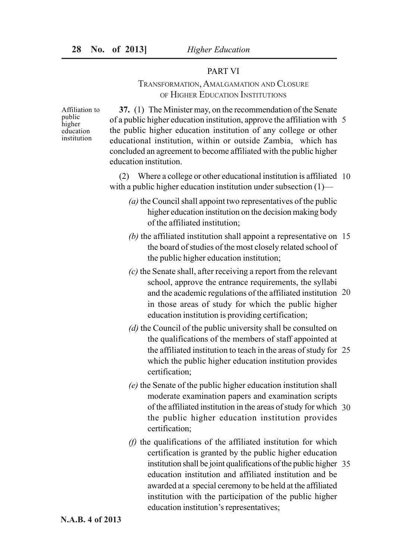### PART VI

# TRANSFORMATION, AMALGAMATION AND CLOSURE OF HIGHER EDUCATION INSTITUTIONS

Affiliation to public higher education institution

**37.** (1) The Minister may, on the recommendation of the Senate of a public higher education institution, approve the affiliation with 5 the public higher education institution of any college or other educational institution, within or outside Zambia, which has concluded an agreement to become affiliated with the public higher education institution.

(2) Where a college or other educational institution is affiliated 10 with a public higher education institution under subsection (1)—

- *(a)* the Council shall appoint two representatives of the public higher education institution on the decision making body of the affiliated institution;
- *(b)* the affiliated institution shall appoint a representative on 15 the board of studies of the most closely related school of the public higher education institution;
- *(c)* the Senate shall, after receiving a report from the relevant school, approve the entrance requirements, the syllabi and the academic regulations of the affiliated institution 20 in those areas of study for which the public higher education institution is providing certification;
- *(d)* the Council of the public university shall be consulted on the qualifications of the members of staff appointed at the affiliated institution to teach in the areas of study for 25 which the public higher education institution provides certification;
- *(e)* the Senate of the public higher education institution shall moderate examination papers and examination scripts of the affiliated institution in the areas of study for which 30 the public higher education institution provides certification;
- *(f)* the qualifications of the affiliated institution for which certification is granted by the public higher education institution shall be joint qualifications of the public higher 35 education institution and affiliated institution and be awarded at a special ceremony to be held at the affiliated institution with the participation of the public higher education institution's representatives;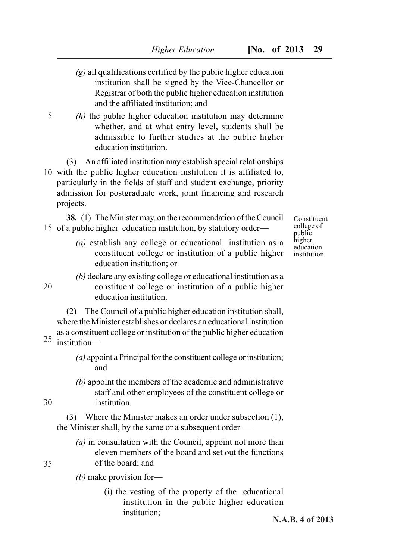- *(g)* all qualifications certified by the public higher education institution shall be signed by the Vice-Chancellor or Registrar of both the public higher education institution and the affiliated institution; and
- *(h)* the public higher education institution may determine whether, and at what entry level, students shall be admissible to further studies at the public higher education institution.

(3) An affiliated institution may establish special relationships 10 with the public higher education institution it is affiliated to, particularly in the fields of staff and student exchange, priority admission for postgraduate work, joint financing and research projects.

**38.** (1) The Minister may, on the recommendation of the Council 15 of a public higher education institution, by statutory order—

- *(a)* establish any college or educational institution as a constituent college or institution of a public higher education institution; or
- 

5

*(b)* declare any existing college or educational institution as a constituent college or institution of a public higher education institution.

(2) The Council of a public higher education institution shall, where the Minister establishes or declares an educational institution as a constituent college or institution of the public higher education

institution— 25

20

- *(a)* appoint a Principal for the constituent college or institution; and
- *(b)* appoint the members of the academic and administrative staff and other employees of the constituent college or institution.

(3) Where the Minister makes an order under subsection (1), the Minister shall, by the same or a subsequent order —

*(a)* in consultation with the Council, appoint not more than eleven members of the board and set out the functions of the board; and

35

30

*(b)* make provision for—

(i) the vesting of the property of the educational institution in the public higher education institution;

Constituent college of public higher education institution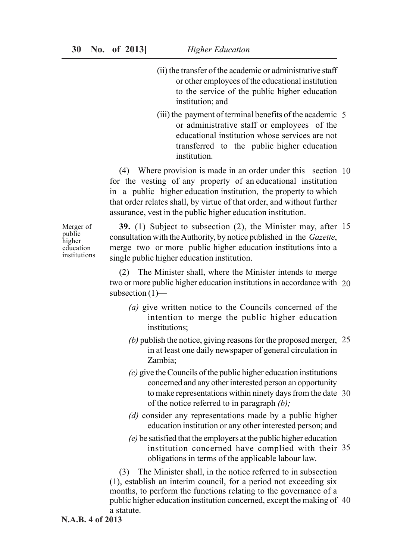- (ii) the transfer of the academic or administrative staff or other employees of the educational institution to the service of the public higher education institution; and
- (iii) the payment of terminal benefits of the academic 5 or administrative staff or employees of the educational institution whose services are not transferred to the public higher education institution.

(4) Where provision is made in an order under this section 10 for the vesting of any property of an educational institution in a public higher education institution, the property to which that order relates shall, by virtue of that order, and without further assurance, vest in the public higher education institution.

Merger of public higher education institutions

**39.** (1) Subject to subsection (2), the Minister may, after 15 consultation with the Authority, by notice published in the *Gazette*, merge two or more public higher education institutions into a single public higher education institution.

(2) The Minister shall, where the Minister intends to merge two or more public higher education institutions in accordance with 20 subsection (1)—

- *(a)* give written notice to the Councils concerned of the intention to merge the public higher education institutions;
- *(b)* publish the notice, giving reasons for the proposed merger, 25 in at least one daily newspaper of general circulation in Zambia;
- *(c)* give the Councils of the public higher education institutions concerned and any other interested person an opportunity to make representations within ninety days from the date 30 of the notice referred to in paragraph *(b);*
- *(d)* consider any representations made by a public higher education institution or any other interested person; and
- *(e)* be satisfied that the employers at the public higher education institution concerned have complied with their 35 obligations in terms of the applicable labour law.

(3) The Minister shall, in the notice referred to in subsection (1), establish an interim council, for a period not exceeding six months, to perform the functions relating to the governance of a public higher education institution concerned, except the making of 40 a statute.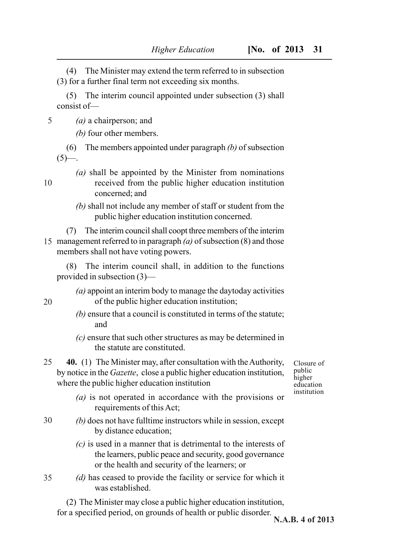(4) The Minister may extend the term referred to in subsection (3) for a further final term not exceeding six months.

(5) The interim council appointed under subsection (3) shall consist of—

*(a)* a chairperson; and 5

*(b)* four other members.

(6) The members appointed under paragraph *(b)* of subsection  $(5)$ —.

- *(a)* shall be appointed by the Minister from nominations received from the public higher education institution concerned; and
- *(b)* shall not include any member of staff or student from the public higher education institution concerned.
- (7) The interim council shall coopt three members of the interim management referred to in paragraph *(a)* of subsection (8) and those 15 members shall not have voting powers.

(8) The interim council shall, in addition to the functions provided in subsection (3)—

*(a)* appoint an interim body to manage the daytoday activities of the public higher education institution;

- *(b)* ensure that a council is constituted in terms of the statute; and
- *(c)* ensure that such other structures as may be determined in the statute are constituted.
- **40.** (1) The Minister may, after consultation with the Authority, by notice in the *Gazette*, close a public higher education institution, where the public higher education institution 25
	- *(a)* is not operated in accordance with the provisions or requirements of this Act;
- *(b)* does not have fulltime instructors while in session, except by distance education; 30
	- *(c)* is used in a manner that is detrimental to the interests of the learners, public peace and security, good governance or the health and security of the learners; or
- *(d)* has ceased to provide the facility or service for which it was established. 35

(2) The Minister may close a public higher education institution, for a specified period, on grounds of health or public disorder.

20

Closure of public higher education institution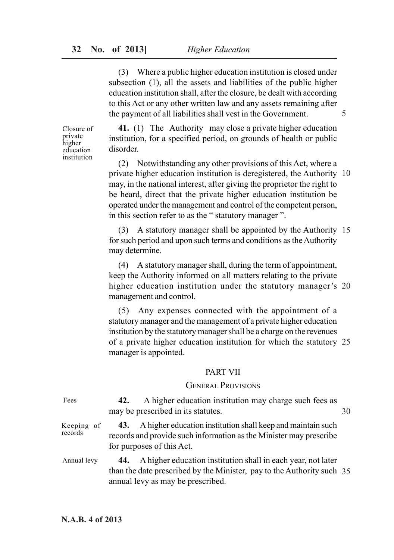(3) Where a public higher education institution is closed under subsection (1), all the assets and liabilities of the public higher education institution shall, after the closure, be dealt with according to this Act or any other written law and any assets remaining after the payment of all liabilities shall vest in the Government.

Closure of private higher education institution

**41.** (1) The Authority may close a private higher education institution, for a specified period, on grounds of health or public disorder.

(2) Notwithstanding any other provisions of this Act, where a private higher education institution is deregistered, the Authority 10 may, in the national interest, after giving the proprietor the right to be heard, direct that the private higher education institution be operated under the management and control of the competent person, in this section refer to as the " statutory manager ".

(3) A statutory manager shall be appointed by the Authority 15 for such period and upon such terms and conditions as the Authority may determine.

(4) A statutory manager shall, during the term of appointment, keep the Authority informed on all matters relating to the private higher education institution under the statutory manager's 20 management and control.

(5) Any expenses connected with the appointment of a statutory manager and the management of a private higher education institution by the statutory manager shall be a charge on the revenues of a private higher education institution for which the statutory 25 manager is appointed.

# PART VII

# GENERAL PROVISIONS

**42.** A higher education institution may charge such fees as may be prescribed in its statutes. Fees

**43.** A higher education institution shall keep and maintain such records and provide such information as the Minister may prescribe for purposes of this Act. Keeping of records

**44.** A higher education institution shall in each year, not later than the date prescribed by the Minister, pay to the Authority such 35 annual levy as may be prescribed. Annual levy

30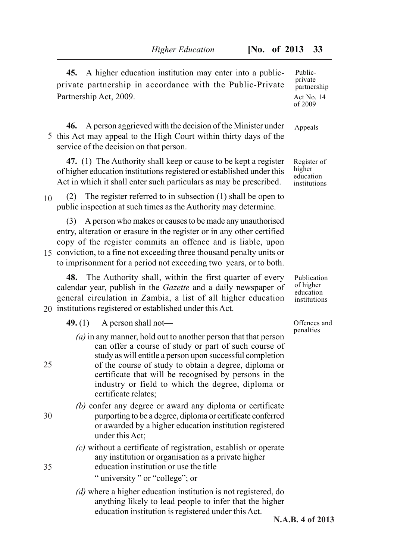**45.** A higher education institution may enter into a publicprivate partnership in accordance with the Public-Private Partnership Act, 2009.

**46.** A person aggrieved with the decision of the Minister under 5 this Act may appeal to the High Court within thirty days of the service of the decision on that person.

**47.** (1) The Authority shall keep or cause to be kept a register of higher education institutions registered or established under this Act in which it shall enter such particulars as may be prescribed.

(2) The register referred to in subsection (1) shall be open to public inspection at such times as the Authority may determine. 10

(3) A person who makes or causes to be made any unauthorised entry, alteration or erasure in the register or in any other certified copy of the register commits an offence and is liable, upon

15 conviction, to a fine not exceeding three thousand penalty units or to imprisonment for a period not exceeding two years, or to both.

**48.** The Authority shall, within the first quarter of every calendar year, publish in the *Gazette* and a daily newspaper of general circulation in Zambia, a list of all higher education 20 institutions registered or established under this Act.

**49.** (1) A person shall not—

*(a)* in any manner, hold out to another person that that person can offer a course of study or part of such course of study as will entitle a person upon successful completion of the course of study to obtain a degree, diploma or certificate that will be recognised by persons in the industry or field to which the degree, diploma or certificate relates;

*(b)* confer any degree or award any diploma or certificate purporting to be a degree, diploma or certificate conferred or awarded by a higher education institution registered under this Act;

- *(c)* without a certificate of registration, establish or operate any institution or organisation as a private higher education institution or use the title
- " university " or "college"; or
	- *(d)* where a higher education institution is not registered, do anything likely to lead people to infer that the higher education institution is registered under this Act.

Publicprivate partnership Act No. 14 of 2009

**Appeals** 

Register of higher education institutions

Publication of higher education institutions

Offences and penalties

30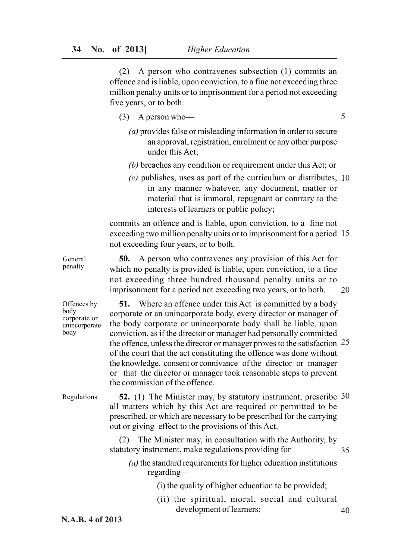(2) A person who contravenes subsection (1) commits an offence and is liable, upon conviction, to a fine not exceeding three million penalty units or to imprisonment for a period not exceeding five years, or to both.

- (3) A person who—
	- *(a)* provides false or misleading information in order to secure an approval, registration, enrolment or any other purpose under this Act;
	- *(b)* breaches any condition or requirement under this Act; or
	- *(c)* publishes, uses as part of the curriculum or distributes, 10 in any manner whatever, any document, matter or material that is immoral, repugnant or contrary to the interests of learners or public policy;

commits an offence and is liable, upon conviction, to a fine not exceeding two million penalty units or to imprisonment for a period 15 not exceeding four years, or to both.

**50.** A person who contravenes any provision of this Act for which no penalty is provided is liable, upon conviction, to a fine not exceeding three hundred thousand penalty units or to imprisonment for a period not exceeding two years, or to both.

**51.** Where an offence under this Act is committed by a body corporate or an unincorporate body, every director or manager of the body corporate or unincorporate body shall be liable, upon conviction, as if the director or manager had personally committed the offence, unless the director or manager proves to the satisfaction 25 of the court that the act constituting the offence was done without the knowledge, consent or connivance of the director or manager or that the director or manager took reasonable steps to prevent the commission of the offence. Offences by corporate or unincorporate

Regulations

**52.** (1) The Minister may, by statutory instrument, prescribe 30 all matters which by this Act are required or permitted to be prescribed, or which are necessary to be prescribed for the carrying out or giving effect to the provisions of this Act.

(2) The Minister may, in consultation with the Authority, by statutory instrument, make regulations providing for—

*(a)* the standard requirements for higher education institutions regarding—

(i) the quality of higher education to be provided;

(ii) the spiritual, moral, social and cultural development of learners; 40

5

General penalty

body

body

20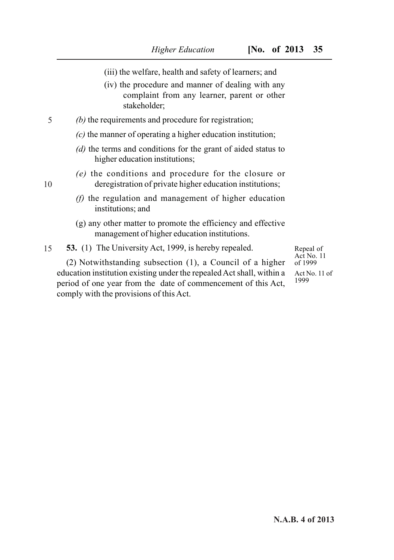- (iii) the welfare, health and safety of learners; and
- (iv) the procedure and manner of dealing with any complaint from any learner, parent or other stakeholder;
- *(b)* the requirements and procedure for registration: 5
	- *(c)* the manner of operating a higher education institution;
	- *(d)* the terms and conditions for the grant of aided status to higher education institutions;
	- *(e)* the conditions and procedure for the closure or deregistration of private higher education institutions;
	- *(f)* the regulation and management of higher education institutions; and
	- (g) any other matter to promote the efficiency and effective management of higher education institutions.

**53.** (1) The University Act, 1999, is hereby repealed. 15

(2) Notwithstanding subsection (1), a Council of a higher education institution existing under the repealed Act shall, within a period of one year from the date of commencement of this Act, comply with the provisions of this Act.

Repeal of Act No. 11 of 1999

Act No. 11 of 1999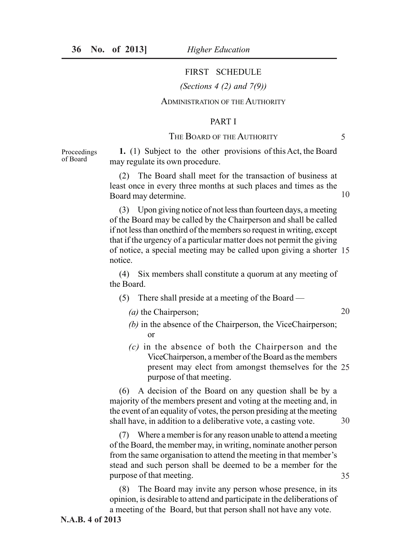Proceedings of Board

# FIRST SCHEDULE

*(Sections 4 (2) and 7(9))*

# ADMINISTRATION OF THE AUTHORITY

### PART I

### THE BOARD OF THE AUTHORITY

5

20

**1.** (1) Subject to the other provisions of this Act, the Board may regulate its own procedure.

(2) The Board shall meet for the transaction of business at least once in every three months at such places and times as the Board may determine. 10

(3) Upon giving notice of not less than fourteen days, a meeting of the Board may be called by the Chairperson and shall be called if not less than onethird of the members so request in writing, except that if the urgency of a particular matter does not permit the giving of notice, a special meeting may be called upon giving a shorter 15 notice.

(4) Six members shall constitute a quorum at any meeting of the Board.

- (5) There shall preside at a meeting of the Board
	- *(a)* the Chairperson;
	- *(b)* in the absence of the Chairperson, the ViceChairperson; or
	- *(c)* in the absence of both the Chairperson and the ViceChairperson, a member of the Board as the members present may elect from amongst themselves for the 25 purpose of that meeting.

(6) A decision of the Board on any question shall be by a majority of the members present and voting at the meeting and, in the event of an equality of votes, the person presiding at the meeting shall have, in addition to a deliberative vote, a casting vote. 30

(7) Where a member is for any reason unable to attend a meeting of the Board, the member may, in writing, nominate another person from the same organisation to attend the meeting in that member's stead and such person shall be deemed to be a member for the purpose of that meeting. 35

(8) The Board may invite any person whose presence, in its opinion, is desirable to attend and participate in the deliberations of a meeting of the Board, but that person shall not have any vote.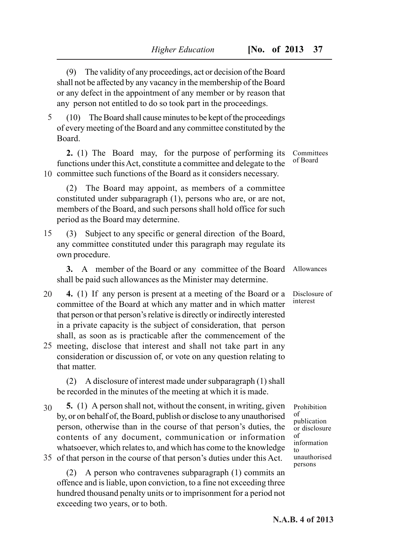(9) The validity of any proceedings, act or decision of the Board shall not be affected by any vacancy in the membership of the Board or any defect in the appointment of any member or by reason that any person not entitled to do so took part in the proceedings.

(10) The Board shall cause minutes to be kept of the proceedings of every meeting of the Board and any committee constituted by the Board. 5

**2.** (1) The Board may, for the purpose of performing its functions under this Act, constitute a committee and delegate to the 10 committee such functions of the Board as it considers necessary.

(2) The Board may appoint, as members of a committee constituted under subparagraph (1), persons who are, or are not, members of the Board, and such persons shall hold office for such period as the Board may determine.

(3) Subject to any specific or general direction of the Board, any committee constituted under this paragraph may regulate its own procedure. 15

**3.** A member of the Board or any committee of the Board shall be paid such allowances as the Minister may determine.

- **4.** (1) If any person is present at a meeting of the Board or a committee of the Board at which any matter and in which matter that person or that person's relative is directly or indirectly interested in a private capacity is the subject of consideration, that person shall, as soon as is practicable after the commencement of the 20
- 25 meeting, disclose that interest and shall not take part in any consideration or discussion of, or vote on any question relating to that matter.

(2) A disclosure of interest made under subparagraph (1) shall be recorded in the minutes of the meeting at which it is made.

**5.** (1) A person shall not, without the consent, in writing, given by, or on behalf of, the Board, publish or disclose to any unauthorised person, otherwise than in the course of that person's duties, the contents of any document, communication or information whatsoever, which relates to, and which has come to the knowledge 30

35 of that person in the course of that person's duties under this Act.

(2) A person who contravenes subparagraph (1) commits an offence and is liable, upon conviction, to a fine not exceeding three hundred thousand penalty units or to imprisonment for a period not exceeding two years, or to both.

Committees of Board

Allowances

Disclosure of interest

Prohibition of publication or disclosure of information to unauthorised persons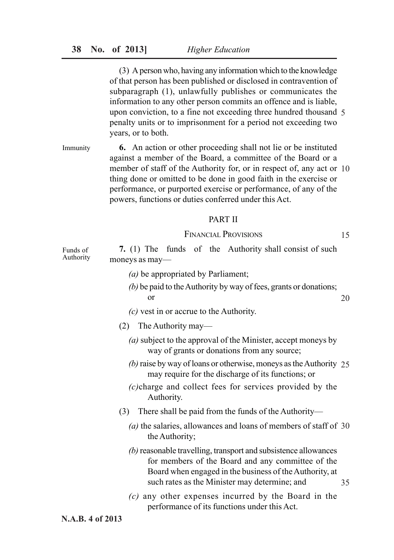(3) A person who, having any information which to the knowledge of that person has been published or disclosed in contravention of subparagraph (1), unlawfully publishes or communicates the information to any other person commits an offence and is liable, upon conviction, to a fine not exceeding three hundred thousand 5 penalty units or to imprisonment for a period not exceeding two years, or to both.

**6.** An action or other proceeding shall not lie or be instituted against a member of the Board, a committee of the Board or a member of staff of the Authority for, or in respect of, any act or 10 thing done or omitted to be done in good faith in the exercise or performance, or purported exercise or performance, of any of the powers, functions or duties conferred under this Act. Immunity

#### PART II

FINANCIAL PROVISIONS

15

| Funds of  |                |  |  |  | 7. (1) The funds of the Authority shall consist of such |  |  |
|-----------|----------------|--|--|--|---------------------------------------------------------|--|--|
| Authority | moneys as may— |  |  |  |                                                         |  |  |

- *(a)* be appropriated by Parliament;
- *(b)* be paid to the Authority by way of fees, grants or donations; or 20
- *(c)* vest in or accrue to the Authority.
- (2) The Authority may—
	- *(a)* subject to the approval of the Minister, accept moneys by way of grants or donations from any source;
	- *(b)* raise by way of loans or otherwise, moneys as the Authority 25 may require for the discharge of its functions; or
	- *(c)*charge and collect fees for services provided by the Authority.
- (3) There shall be paid from the funds of the Authority—
	- *(a)* the salaries, allowances and loans of members of staff of 30 the Authority;
	- *(b)* reasonable travelling, transport and subsistence allowances for members of the Board and any committee of the Board when engaged in the business of the Authority, at such rates as the Minister may determine; and 35
	- *(c)* any other expenses incurred by the Board in the performance of its functions under this Act.

### **N.A.B. 4 of 2013**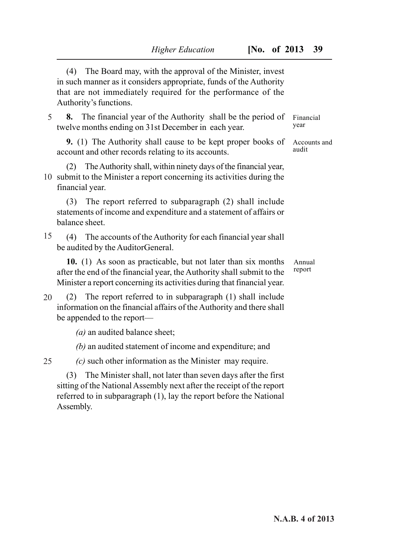(4) The Board may, with the approval of the Minister, invest in such manner as it considers appropriate, funds of the Authority that are not immediately required for the performance of the Authority's functions.

**8.** The financial year of the Authority shall be the period of twelve months ending on 31st December in each year. 5

**9.** (1) The Authority shall cause to be kept proper books of account and other records relating to its accounts.

(2) The Authority shall, within ninety days of the financial year, 10 submit to the Minister a report concerning its activities during the financial year.

(3) The report referred to subparagraph (2) shall include statements of income and expenditure and a statement of affairs or balance sheet.

(4) The accounts of the Authority for each financial year shall be audited by the AuditorGeneral. 15

**10.** (1) As soon as practicable, but not later than six months after the end of the financial year, the Authority shall submit to the Minister a report concerning its activities during that financial year.

(2) The report referred to in subparagraph (1) shall include information on the financial affairs of the Authority and there shall be appended to the report— 20

*(a)* an audited balance sheet;

*(b)* an audited statement of income and expenditure; and

*(c)* such other information as the Minister may require. 25

(3) The Minister shall, not later than seven days after the first sitting of the National Assembly next after the receipt of the report referred to in subparagraph (1), lay the report before the National Assembly.

Annual report

Financial year

audit

Accounts and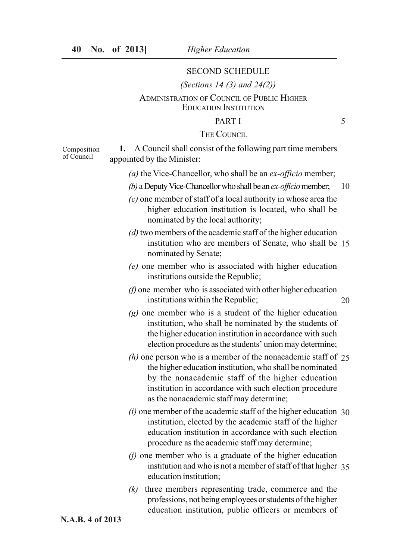of Council

#### SECOND SCHEDULE

### *(Sections 14 (3) and 24(2))*

# ADMINISTRATION OF COUNCIL OF PUBLIC HIGHER EDUCATION INSTITUTION

# PART I

### THE COUNCIL

**1.** A Council shall consist of the following part time members appointed by the Minister: Composition

- *(a)* the Vice-Chancellor, who shall be an *ex-officio* member;
- *(b)* a Deputy Vice-Chancellor who shall be an *ex-officio* member; 10
- *(c)* one member of staff of a local authority in whose area the higher education institution is located, who shall be nominated by the local authority;
- *(d)* two members of the academic staff of the higher education institution who are members of Senate, who shall be 15 nominated by Senate;
- *(e)* one member who is associated with higher education institutions outside the Republic;
- *(f)* one member who is associated with other higher education institutions within the Republic; 20
- *(g)* one member who is a student of the higher education institution, who shall be nominated by the students of the higher education institution in accordance with such election procedure as the students' union may determine;
- *(h)* one person who is a member of the nonacademic staff of 25 the higher education institution, who shall be nominated by the nonacademic staff of the higher education institution in accordance with such election procedure as the nonacademic staff may determine;
- *(i)* one member of the academic staff of the higher education 30 institution, elected by the academic staff of the higher education institution in accordance with such election procedure as the academic staff may determine;
- *(j)* one member who is a graduate of the higher education institution and who is not a member of staff of that higher 35 education institution;
- *(k)* three members representing trade, commerce and the professions, not being employees or students of the higher education institution, public officers or members of

**N.A.B. 4 of 2013**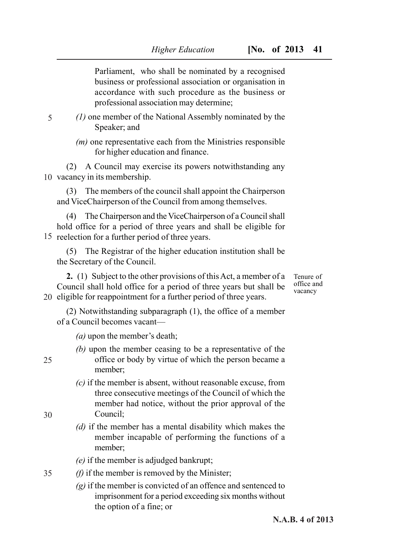Parliament, who shall be nominated by a recognised business or professional association or organisation in accordance with such procedure as the business or professional association may determine;

*(1)* one member of the National Assembly nominated by the Speaker; and

*(m)* one representative each from the Ministries responsible for higher education and finance.

(2) A Council may exercise its powers notwithstanding any 10 vacancy in its membership.

(3) The members of the council shall appoint the Chairperson and ViceChairperson of the Council from among themselves.

(4) The Chairperson and the ViceChairperson of a Council shall hold office for a period of three years and shall be eligible for 15 reelection for a further period of three years.

(5) The Registrar of the higher education institution shall be the Secretary of the Council.

**2.** (1) Subject to the other provisions of this Act, a member of a Council shall hold office for a period of three years but shall be 20 eligible for reappointment for a further period of three years.

Tenure of office and vacancy

(2) Notwithstanding subparagraph (1), the office of a member of a Council becomes vacant—

- *(a)* upon the member's death;
- *(b)* upon the member ceasing to be a representative of the office or body by virtue of which the person became a member;
	- *(c)* if the member is absent, without reasonable excuse, from three consecutive meetings of the Council of which the member had notice, without the prior approval of the Council;
	- *(d)* if the member has a mental disability which makes the member incapable of performing the functions of a member;
	- *(e)* if the member is adjudged bankrupt;
- *(f)* if the member is removed by the Minister; 35
	- *(g)* if the member is convicted of an offence and sentenced to imprisonment for a period exceeding six months without the option of a fine; or

30

25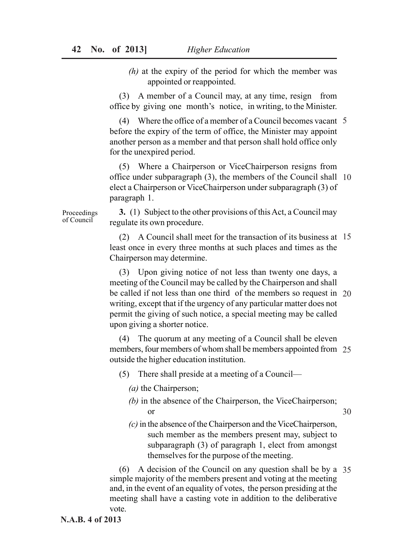*(h)* at the expiry of the period for which the member was appointed or reappointed.

(3) A member of a Council may, at any time, resign from office by giving one month's notice, in writing, to the Minister.

(4) Where the office of a member of a Council becomes vacant 5 before the expiry of the term of office, the Minister may appoint another person as a member and that person shall hold office only for the unexpired period.

(5) Where a Chairperson or ViceChairperson resigns from office under subparagraph (3), the members of the Council shall 10 elect a Chairperson or ViceChairperson under subparagraph (3) of paragraph 1.

**3.** (1) Subject to the other provisions of this Act, a Council may regulate its own procedure.

(2) A Council shall meet for the transaction of its business at 15 least once in every three months at such places and times as the Chairperson may determine.

(3) Upon giving notice of not less than twenty one days, a meeting of the Council may be called by the Chairperson and shall be called if not less than one third of the members so request in 20 writing, except that if the urgency of any particular matter does not permit the giving of such notice, a special meeting may be called upon giving a shorter notice.

(4) The quorum at any meeting of a Council shall be eleven members, four members of whom shall be members appointed from 25 outside the higher education institution.

- (5) There shall preside at a meeting of a Council—
	- *(a)* the Chairperson;
	- *(b)* in the absence of the Chairperson, the ViceChairperson; or

30

*(c)* in the absence of the Chairperson and the ViceChairperson, such member as the members present may, subject to subparagraph (3) of paragraph 1, elect from amongst themselves for the purpose of the meeting.

(6) A decision of the Council on any question shall be by a 35 simple majority of the members present and voting at the meeting and, in the event of an equality of votes, the person presiding at the meeting shall have a casting vote in addition to the deliberative vote.

Proceedings of Council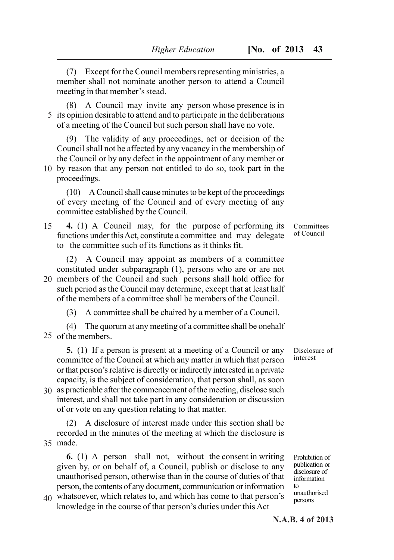(7) Except for the Council members representing ministries, a member shall not nominate another person to attend a Council meeting in that member's stead.

(8) A Council may invite any person whose presence is in 5 its opinion desirable to attend and to participate in the deliberations of a meeting of the Council but such person shall have no vote.

(9) The validity of any proceedings, act or decision of the Council shall not be affected by any vacancy in the membership of the Council or by any defect in the appointment of any member or

10 by reason that any person not entitled to do so, took part in the proceedings.

(10) A Council shall cause minutes to be kept of the proceedings of every meeting of the Council and of every meeting of any committee established by the Council.

#### **4.** (1) A Council may, for the purpose of performing its functions under this Act, constitute a committee and may delegate to the committee such of its functions as it thinks fit. 15

(2) A Council may appoint as members of a committee constituted under subparagraph (1), persons who are or are not

20 members of the Council and such persons shall hold office for such period as the Council may determine, except that at least half of the members of a committee shall be members of the Council.

(3) A committee shall be chaired by a member of a Council.

(4) The quorum at any meeting of a committee shall be onehalf 25 of the members.

**5.** (1) If a person is present at a meeting of a Council or any committee of the Council at which any matter in which that person or that person's relative is directly or indirectly interested in a private capacity, is the subject of consideration, that person shall, as soon

30 as practicable after the commencement of the meeting, disclose such interest, and shall not take part in any consideration or discussion of or vote on any question relating to that matter.

(2) A disclosure of interest made under this section shall be recorded in the minutes of the meeting at which the disclosure is made. 35

**6.** (1) A person shall not, without the consent in writing given by, or on behalf of, a Council, publish or disclose to any unauthorised person, otherwise than in the course of duties of that person, the contents of any document, communication or information

whatsoever, which relates to, and which has come to that person's 40 knowledge in the course of that person's duties under this Act

Committees of Council

Disclosure of interest

Prohibition of publication or disclosure of information to unauthorised persons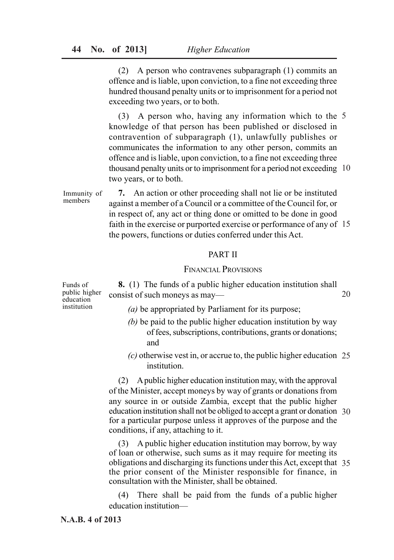(2) A person who contravenes subparagraph (1) commits an offence and is liable, upon conviction, to a fine not exceeding three hundred thousand penalty units or to imprisonment for a period not exceeding two years, or to both.

(3) A person who, having any information which to the 5 knowledge of that person has been published or disclosed in contravention of subparagraph (1), unlawfully publishes or communicates the information to any other person, commits an offence and is liable, upon conviction, to a fine not exceeding three thousand penalty units or to imprisonment for a period not exceeding 10 two years, or to both.

**7.** An action or other proceeding shall not lie or be instituted against a member of a Council or a committee of the Council for, or in respect of, any act or thing done or omitted to be done in good faith in the exercise or purported exercise or performance of any of 15 the powers, functions or duties conferred under this Act. Immunity of members

#### PART II

### FINANCIAL PROVISIONS

**8.** (1) The funds of a public higher education institution shall consist of such moneys as may— Funds of public higher education institution

- *(a)* be appropriated by Parliament for its purpose;
- *(b)* be paid to the public higher education institution by way of fees, subscriptions, contributions, grants or donations; and
- *(c)* otherwise vest in, or accrue to, the public higher education 25 institution.

(2) A public higher education institution may, with the approval of the Minister, accept moneys by way of grants or donations from any source in or outside Zambia, except that the public higher education institution shall not be obliged to accept a grant or donation 30 for a particular purpose unless it approves of the purpose and the conditions, if any, attaching to it.

(3) A public higher education institution may borrow, by way of loan or otherwise, such sums as it may require for meeting its obligations and discharging its functions under this Act, except that 35 the prior consent of the Minister responsible for finance, in consultation with the Minister, shall be obtained.

(4) There shall be paid from the funds of a public higher education institution—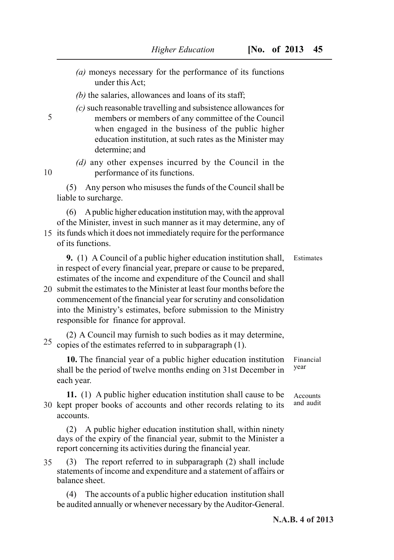- *(a)* moneys necessary for the performance of its functions under this Act;
- *(b)* the salaries, allowances and loans of its staff;

5

10

*(c)* such reasonable travelling and subsistence allowances for members or members of any committee of the Council when engaged in the business of the public higher education institution, at such rates as the Minister may determine; and

*(d)* any other expenses incurred by the Council in the performance of its functions.

(5) Any person who misuses the funds of the Council shall be liable to surcharge.

(6) A public higher education institution may, with the approval of the Minister, invest in such manner as it may determine, any of

- 15 its funds which it does not immediately require for the performance of its functions.
	- **9.** (1) A Council of a public higher education institution shall, in respect of every financial year, prepare or cause to be prepared, estimates of the income and expenditure of the Council and shall Estimates
- 20 submit the estimates to the Minister at least four months before the commencement of the financial year for scrutiny and consolidation into the Ministry's estimates, before submission to the Ministry responsible for finance for approval.

(2) A Council may furnish to such bodies as it may determine,  $25$  copies of the estimates referred to in subparagraph (1).

**10.** The financial year of a public higher education institution shall be the period of twelve months ending on 31st December in each year.

**11.** (1) A public higher education institution shall cause to be 30 kept proper books of accounts and other records relating to its accounts.

(2) A public higher education institution shall, within ninety days of the expiry of the financial year, submit to the Minister a report concerning its activities during the financial year.

(3) The report referred to in subparagraph (2) shall include statements of income and expenditure and a statement of affairs or balance sheet. 35

(4) The accounts of a public higher education institution shall be audited annually or whenever necessary by the Auditor-General. Financial year

Accounts and audit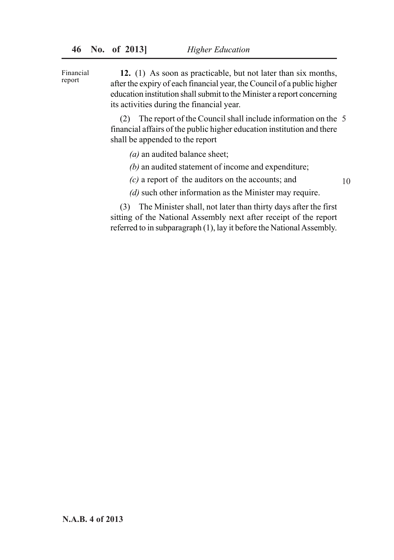**12.** (1) As soon as practicable, but not later than six months, after the expiry of each financial year, the Council of a public higher education institution shall submit to the Minister a report concerning its activities during the financial year. Financial report

> (2) The report of the Council shall include information on the 5 financial affairs of the public higher education institution and there shall be appended to the report

- *(a)* an audited balance sheet;
- *(b)* an audited statement of income and expenditure;
- *(c)* a report of the auditors on the accounts; and
- *(d)* such other information as the Minister may require.

10

(3) The Minister shall, not later than thirty days after the first sitting of the National Assembly next after receipt of the report referred to in subparagraph (1), lay it before the National Assembly.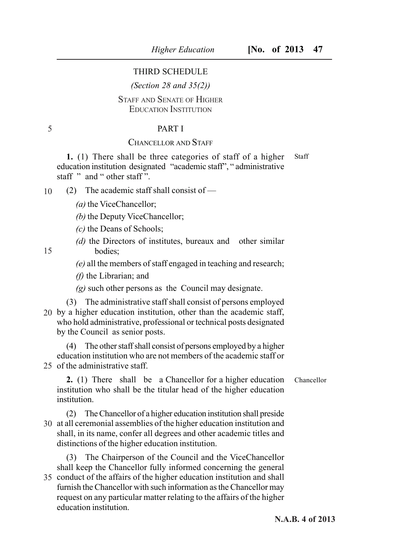### THIRD SCHEDULE

### *(Section 28 and 35(2))*

# STAFF AND SENATE OF HIGHER EDUCATION INSTITUTION

### PART I

### CHANCELLOR AND STAFF

**1.** (1) There shall be three categories of staff of a higher education institution designated "academic staff", " administrative staff " and " other staff". Staff

(2) The academic staff shall consist of — 10

*(a)* the ViceChancellor;

*(b)* the Deputy ViceChancellor;

*(c)* the Deans of Schools;

*(d)* the Directors of institutes, bureaux and other similar bodies;

*(e)* all the members of staff engaged in teaching and research;

*(f)* the Librarian; and

*(g)* such other persons as the Council may designate.

(3) The administrative staff shall consist of persons employed 20 by a higher education institution, other than the academic staff, who hold administrative, professional or technical posts designated by the Council as senior posts.

(4) The other staff shall consist of persons employed by a higher education institution who are not members of the academic staff or 25 of the administrative staff.

**2.** (1) There shall be a Chancellor for a higher education institution who shall be the titular head of the higher education institution. Chancellor

(2) The Chancellor of a higher education institution shall preside 30 at all ceremonial assemblies of the higher education institution and shall, in its name, confer all degrees and other academic titles and distinctions of the higher education institution.

(3) The Chairperson of the Council and the ViceChancellor shall keep the Chancellor fully informed concerning the general

35 conduct of the affairs of the higher education institution and shall furnish the Chancellor with such information as the Chancellor may request on any particular matter relating to the affairs of the higher education institution.

15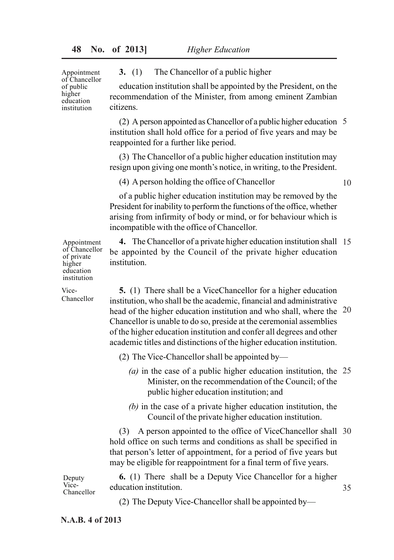Appointment of Chancellor of public higher education institution

**3.** (1) The Chancellor of a public higher

education institution shall be appointed by the President, on the recommendation of the Minister, from among eminent Zambian citizens.

(2) A person appointed as Chancellor of a public higher education 5 institution shall hold office for a period of five years and may be reappointed for a further like period.

(3) The Chancellor of a public higher education institution may resign upon giving one month's notice, in writing, to the President.

(4) A person holding the office of Chancellor

10

35

of a public higher education institution may be removed by the President for inability to perform the functions of the office, whether arising from infirmity of body or mind, or for behaviour which is incompatible with the office of Chancellor.

**4.** The Chancellor of a private higher education institution shall 15 be appointed by the Council of the private higher education institution.

**5.** (1) There shall be a ViceChancellor for a higher education institution, who shall be the academic, financial and administrative head of the higher education institution and who shall, where the 20 Chancellor is unable to do so, preside at the ceremonial assemblies of the higher education institution and confer all degrees and other academic titles and distinctions of the higher education institution.

(2) The Vice-Chancellor shall be appointed by—

- *(a)* in the case of a public higher education institution, the 25 Minister, on the recommendation of the Council; of the public higher education institution; and
- *(b)* in the case of a private higher education institution, the Council of the private higher education institution.

(3) A person appointed to the office of ViceChancellor shall 30 hold office on such terms and conditions as shall be specified in that person's letter of appointment, for a period of five years but may be eligible for reappointment for a final term of five years.

**6.** (1) There shall be a Deputy Vice Chancellor for a higher education institution.

(2) The Deputy Vice-Chancellor shall be appointed by—

Appointment of Chancellor of private higher education institution

Vice-Chancellor

Chancellor

Deputy Vice-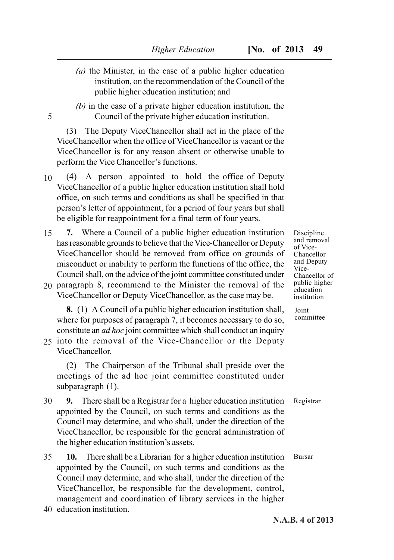- *(a)* the Minister, in the case of a public higher education institution, on the recommendation of the Council of the public higher education institution; and
- *(b)* in the case of a private higher education institution, the Council of the private higher education institution.

(3) The Deputy ViceChancellor shall act in the place of the ViceChancellor when the office of ViceChancellor is vacant or the ViceChancellor is for any reason absent or otherwise unable to perform the Vice Chancellor's functions.

- (4) A person appointed to hold the office of Deputy ViceChancellor of a public higher education institution shall hold office, on such terms and conditions as shall be specified in that person's letter of appointment, for a period of four years but shall be eligible for reappointment for a final term of four years. 10
- **7.** Where a Council of a public higher education institution has reasonable grounds to believe that the Vice-Chancellor or Deputy ViceChancellor should be removed from office on grounds of misconduct or inability to perform the functions of the office, the Council shall, on the advice of the joint committee constituted under 15
- 20 paragraph 8, recommend to the Minister the removal of the ViceChancellor or Deputy ViceChancellor, as the case may be.

**8.** (1) A Council of a public higher education institution shall, where for purposes of paragraph 7, it becomes necessary to do so, constitute an *ad hoc* joint committee which shall conduct an inquiry

25 into the removal of the Vice-Chancellor or the Deputy ViceChancellor.

(2) The Chairperson of the Tribunal shall preside over the meetings of the ad hoc joint committee constituted under subparagraph (1).

- **9.** There shall be a Registrar for a higher education institution appointed by the Council, on such terms and conditions as the Council may determine, and who shall, under the direction of the ViceChancellor, be responsible for the general administration of the higher education institution's assets. 30
- **10.** There shall be a Librarian for a higher education institution appointed by the Council, on such terms and conditions as the Council may determine, and who shall, under the direction of the ViceChancellor, be responsible for the development, control, management and coordination of library services in the higher 35
- 40 education institution.

5

Discipline and removal of Vice-Chancellor and Deputy Vice-Chancellor of public higher education institution

Joint committee

Registrar

Bursar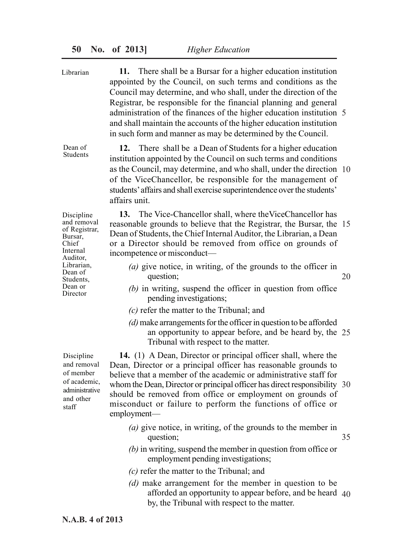**11.** There shall be a Bursar for a higher education institution appointed by the Council, on such terms and conditions as the Council may determine, and who shall, under the direction of the Registrar, be responsible for the financial planning and general administration of the finances of the higher education institution 5 and shall maintain the accounts of the higher education institution in such form and manner as may be determined by the Council. **12.** There shall be a Dean of Students for a higher education institution appointed by the Council on such terms and conditions as the Council, may determine, and who shall, under the direction 10 of the ViceChancellor, be responsible for the management of students' affairs and shall exercise superintendence over the students' affairs unit. **13.** The Vice-Chancellor shall, where theViceChancellor has reasonable grounds to believe that the Registrar, the Bursar, the 15 Dean of Students, the Chief Internal Auditor, the Librarian, a Dean or a Director should be removed from office on grounds of incompetence or misconduct— *(a)* give notice, in writing, of the grounds to the officer in question; *(b)* in writing, suspend the officer in question from office pending investigations; *(c)* refer the matter to the Tribunal; and *(d)* make arrangements for the officer in question to be afforded an opportunity to appear before, and be heard by, the 25 Tribunal with respect to the matter. **14.** (1) A Dean, Director or principal officer shall, where the Dean, Director or a principal officer has reasonable grounds to believe that a member of the academic or administrative staff for whom the Dean, Director or principal officer has direct responsibility 30 should be removed from office or employment on grounds of misconduct or failure to perform the functions of office or employment— Librarian Dean of Students Discipline and removal of Registrar, Director Discipline and removal of member administrative staff 20

- *(a)* give notice, in writing, of the grounds to the member in question; 35
- *(b)* in writing, suspend the member in question from office or employment pending investigations;
- *(c)* refer the matter to the Tribunal; and
- *(d)* make arrangement for the member in question to be afforded an opportunity to appear before, and be heard 40 by, the Tribunal with respect to the matter.

Bursar, Chief Internal Auditor, Librarian, Dean of Students, Dean or

of academic, and other

**N.A.B. 4 of 2013**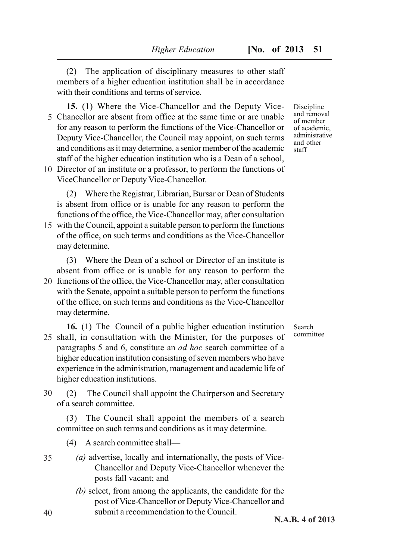(2) The application of disciplinary measures to other staff members of a higher education institution shall be in accordance with their conditions and terms of service.

- **15.** (1) Where the Vice-Chancellor and the Deputy Vice-Chancellor are absent from office at the same time or are unable 5 for any reason to perform the functions of the Vice-Chancellor or Deputy Vice-Chancellor, the Council may appoint, on such terms and conditions as it may determine, a senior member of the academic staff of the higher education institution who is a Dean of a school,
- 10 Director of an institute or a professor, to perform the functions of ViceChancellor or Deputy Vice-Chancellor.

(2) Where the Registrar, Librarian, Bursar or Dean of Students is absent from office or is unable for any reason to perform the functions of the office, the Vice-Chancellor may, after consultation

15 with the Council, appoint a suitable person to perform the functions of the office, on such terms and conditions as the Vice-Chancellor may determine.

(3) Where the Dean of a school or Director of an institute is absent from office or is unable for any reason to perform the 20 functions of the office, the Vice-Chancellor may, after consultation with the Senate, appoint a suitable person to perform the functions of the office, on such terms and conditions as the Vice-Chancellor may determine.

**16.** (1) The Council of a public higher education institution 25 shall, in consultation with the Minister, for the purposes of paragraphs 5 and 6, constitute an *ad hoc* search committee of a higher education institution consisting of seven members who have experience in the administration, management and academic life of higher education institutions.

(2) The Council shall appoint the Chairperson and Secretary of a search committee. 30

(3) The Council shall appoint the members of a search committee on such terms and conditions as it may determine.

(4) A search committee shall—

- *(a)* advertise, locally and internationally, the posts of Vice-Chancellor and Deputy Vice-Chancellor whenever the posts fall vacant; and 35
	- *(b)* select, from among the applicants, the candidate for the post of Vice-Chancellor or Deputy Vice-Chancellor and submit a recommendation to the Council.

Discipline and removal of member of academic, administrative and other staff

Search committee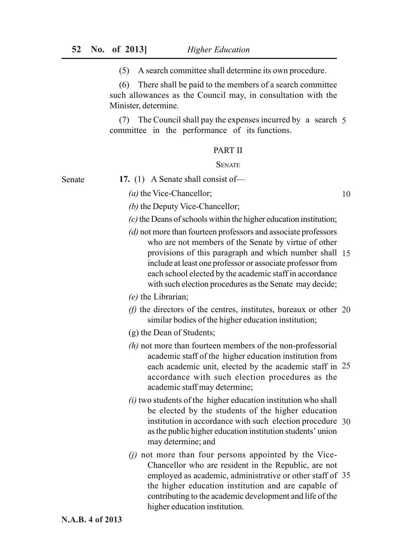(5) A search committee shall determine its own procedure.

(6) There shall be paid to the members of a search committee such allowances as the Council may, in consultation with the Minister, determine.

(7) The Council shall pay the expenses incurred by a search 5 committee in the performance of its functions.

### PART II

#### **SENATE**

Senate

**17.** (1) A Senate shall consist of—

*(a)* the Vice-Chancellor;

- *(b)* the Deputy Vice-Chancellor;
- *(c)* the Deans of schools within the higher education institution;
- *(d)* not more than fourteen professors and associate professors who are not members of the Senate by virtue of other provisions of this paragraph and which number shall 15 include at least one professor or associate professor from each school elected by the academic staff in accordance with such election procedures as the Senate may decide;
- *(e)* the Librarian;
- *(f)* the directors of the centres, institutes, bureaux or other 20 similar bodies of the higher education institution;
- (g) the Dean of Students;
- *(h)* not more than fourteen members of the non-professorial academic staff of the higher education institution from each academic unit, elected by the academic staff in 25 accordance with such election procedures as the academic staff may determine;
- *(i)* two students of the higher education institution who shall be elected by the students of the higher education institution in accordance with such election procedure 30 as the public higher education institution students' union may determine; and
- *(j)* not more than four persons appointed by the Vice-Chancellor who are resident in the Republic, are not employed as academic, administrative or other staff of 35 the higher education institution and are capable of contributing to the academic development and life of the higher education institution.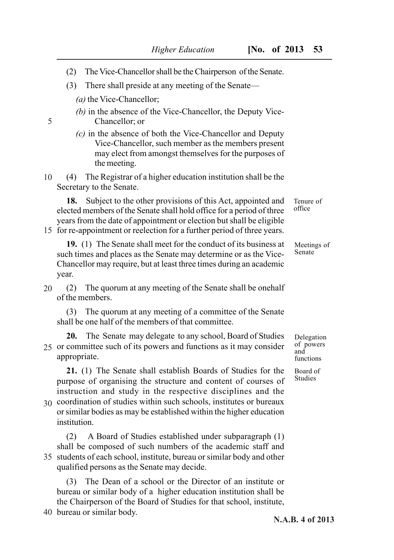- (2) The Vice-Chancellor shall be the Chairperson of the Senate.
- (3) There shall preside at any meeting of the Senate—
	- *(a)* the Vice-Chancellor;

5

- *(b)* in the absence of the Vice-Chancellor, the Deputy Vice-Chancellor; or
- *(c)* in the absence of both the Vice-Chancellor and Deputy Vice-Chancellor, such member as the members present may elect from amongst themselves for the purposes of the meeting.

(4) The Registrar of a higher education institution shall be the Secretary to the Senate. 10

**18.** Subject to the other provisions of this Act, appointed and elected members of the Senate shall hold office for a period of three years from the date of appointment or election but shall be eligible

15 for re-appointment or reelection for a further period of three years.

Tenure of office

Meetings of Senate

such times and places as the Senate may determine or as the Vice-Chancellor may require, but at least three times during an academic year.

**19.** (1) The Senate shall meet for the conduct of its business at

(2) The quorum at any meeting of the Senate shall be onehalf of the members. 20

(3) The quorum at any meeting of a committee of the Senate shall be one half of the members of that committee.

**20.** The Senate may delegate to any school, Board of Studies 25 or committee such of its powers and functions as it may consider appropriate.

**21.** (1) The Senate shall establish Boards of Studies for the purpose of organising the structure and content of courses of instruction and study in the respective disciplines and the

coordination of studies within such schools, institutes or bureaux 30 or similar bodies as may be established within the higher education institution.

(2) A Board of Studies established under subparagraph (1) shall be composed of such numbers of the academic staff and 35 students of each school, institute, bureau or similar body and other qualified persons as the Senate may decide.

(3) The Dean of a school or the Director of an institute or bureau or similar body of a higher education institution shall be the Chairperson of the Board of Studies for that school, institute,

40 bureau or similar body.

Delegation of powers and functions

Board of Studies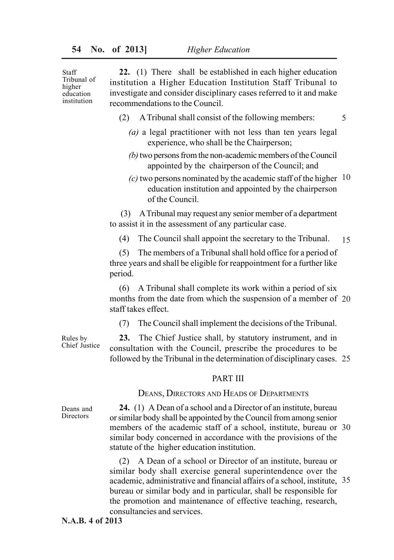Staff Tribunal of higher education institution

**22.** (1) There shall be established in each higher education institution a Higher Education Institution Staff Tribunal to investigate and consider disciplinary cases referred to it and make recommendations to the Council.

- (2) A Tribunal shall consist of the following members:
	- *(a)* a legal practitioner with not less than ten years legal experience, who shall be the Chairperson;

5

- *(b)* two persons from the non-academic members of the Council appointed by the chairperson of the Council; and
- $(c)$  two persons nominated by the academic staff of the higher  $10$ education institution and appointed by the chairperson of the Council.

 (3) A Tribunal may request any senior member of a department to assist it in the assessment of any particular case.

(4) The Council shall appoint the secretary to the Tribunal. 15

(5) The members of a Tribunal shall hold office for a period of three years and shall be eligible for reappointment for a further like period.

(6) A Tribunal shall complete its work within a period of six months from the date from which the suspension of a member of 20 staff takes effect.

(7) The Council shall implement the decisions of the Tribunal.

**23.** The Chief Justice shall, by statutory instrument, and in consultation with the Council, prescribe the procedures to be followed by the Tribunal in the determination of disciplinary cases. 25

#### PART III

DEANS, DIRECTORS AND HEADS OF DEPARTMENTS

Deans and **Directors** 

Rules by Chief Justice

> **24.** (1) A Dean of a school and a Director of an institute, bureau or similar body shall be appointed by the Council from among senior members of the academic staff of a school, institute, bureau or 30 similar body concerned in accordance with the provisions of the statute of the higher education institution.

> (2) A Dean of a school or Director of an institute, bureau or similar body shall exercise general superintendence over the academic, administrative and financial affairs of a school, institute, 35 bureau or similar body and in particular, shall be responsible for the promotion and maintenance of effective teaching, research, consultancies and services.

**N.A.B. 4 of 2013**